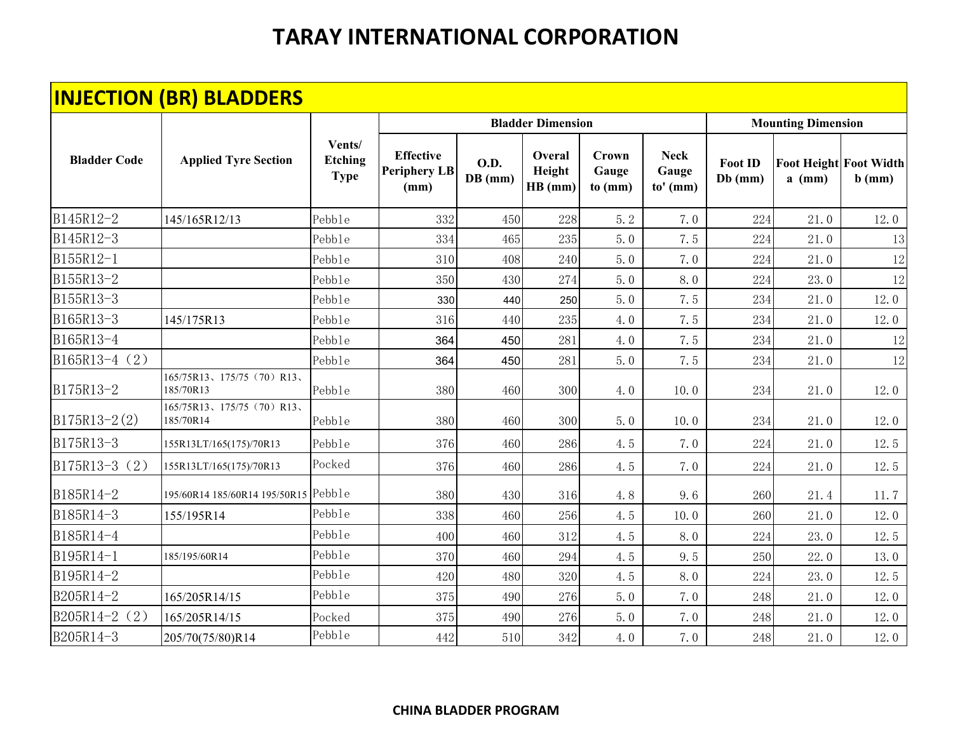|                     | <b>INJECTION (BR) BLADDERS</b>          |                                         |                                                 |                          |                             |                                  |                                    |                           |                           |                                           |
|---------------------|-----------------------------------------|-----------------------------------------|-------------------------------------------------|--------------------------|-----------------------------|----------------------------------|------------------------------------|---------------------------|---------------------------|-------------------------------------------|
|                     |                                         |                                         |                                                 |                          | <b>Bladder Dimension</b>    |                                  |                                    |                           | <b>Mounting Dimension</b> |                                           |
| <b>Bladder Code</b> | <b>Applied Tyre Section</b>             | Vents/<br><b>Etching</b><br><b>Type</b> | <b>Effective</b><br><b>Periphery LB</b><br>(mm) | <b>O.D.</b><br>$DB$ (mm) | Overal<br>Height<br>HB (mm) | <b>Crown</b><br>Gauge<br>to (mm) | <b>Neck</b><br>Gauge<br>$to'$ (mm) | <b>Foot ID</b><br>Db (mm) | $a$ (mm)                  | <b>Foot Height Foot Width</b><br>$b$ (mm) |
| B145R12-2           | 145/165R12/13                           | Pebble                                  | 332                                             | 450                      | 228                         | 5.2                              | 7.0                                | 224                       | 21.0                      | 12.0                                      |
| B145R12-3           |                                         | Pebble                                  | 334                                             | 465                      | 235                         | 5.0                              | 7.5                                | 224                       | 21.0                      | 13                                        |
| B155R12-1           |                                         | Pebble                                  | 310                                             | 408                      | 240                         | 5.0                              | 7.0                                | 224                       | 21.0                      | 12                                        |
| B155R13-2           |                                         | Pebble                                  | 350                                             | 430                      | 274                         | 5.0                              | 8.0                                | 224                       | 23.0                      | 12                                        |
| B155R13-3           |                                         | Pebble                                  | 330                                             | 440                      | 250                         | 5.0                              | 7.5                                | 234                       | 21.0                      | 12.0                                      |
| B165R13-3           | 145/175R13                              | Pebble                                  | 316                                             | 440                      | 235                         | 4.0                              | 7.5                                | 234                       | 21.0                      | 12.0                                      |
| B165R13-4           |                                         | Pebble                                  | 364                                             | 450                      | 281                         | 4.0                              | 7.5                                | 234                       | 21.0                      | 12                                        |
| B165R13-4 (2)       |                                         | Pebble                                  | 364                                             | 450                      | 281                         | 5.0                              | 7.5                                | 234                       | 21.0                      | 12                                        |
| B175R13-2           | 165/75R13、175/75 (70) R13、<br>185/70R13 | Pebble                                  | 380                                             | 460                      | 300                         | 4.0                              | 10.0                               | 234                       | 21.0                      | 12.0                                      |
| $B175R13-2(2)$      | 165/75R13、175/75 (70) R13、<br>185/70R14 | Pebble                                  | 380                                             | 460                      | 300                         | 5.0                              | 10.0                               | 234                       | 21.0                      | 12.0                                      |
| B175R13-3           | 155R13LT/165(175)/70R13                 | Pebb1e                                  | 376                                             | 460                      | 286                         | 4.5                              | 7.0                                | 224                       | 21.0                      | 12.5                                      |
| B175R13-3 (2)       | 155R13LT/165(175)/70R13                 | Pocked                                  | 376                                             | 460                      | 286                         | 4.5                              | 7.0                                | 224                       | 21.0                      | 12.5                                      |
| B185R14-2           | 195/60R14 185/60R14 195/50R15           | Pebble                                  | 380                                             | 430                      | 316                         | 4.8                              | 9.6                                | 260                       | 21.4                      | 11.7                                      |
| B185R14-3           | 155/195R14                              | Pebble                                  | 338                                             | 460                      | 256                         | 4.5                              | 10.0                               | 260                       | 21.0                      | 12.0                                      |
| B185R14-4           |                                         | Pebble                                  | 400                                             | 460                      | 312                         | 4.5                              | 8.0                                | 224                       | 23.0                      | 12.5                                      |
| B195R14-1           | 185/195/60R14                           | Pebble                                  | 370                                             | 460                      | 294                         | 4.5                              | 9.5                                | 250                       | 22.0                      | 13.0                                      |
| B195R14-2           |                                         | Pebble                                  | 420                                             | 480                      | 320                         | 4.5                              | 8.0                                | 224                       | 23.0                      | 12.5                                      |
| B205R14-2           | 165/205R14/15                           | Pebble                                  | 375                                             | 490                      | 276                         | 5.0                              | 7.0                                | 248                       | 21.0                      | 12.0                                      |
| B205R14-2 (2)       | 165/205R14/15                           | Pocked                                  | 375                                             | 490                      | 276                         | 5.0                              | 7.0                                | 248                       | 21.0                      | 12.0                                      |
| B205R14-3           | 205/70(75/80)R14                        | Pebb1e                                  | 442                                             | 510                      | 342                         | 4.0                              | 7.0                                | 248                       | 21.0                      | 12.0                                      |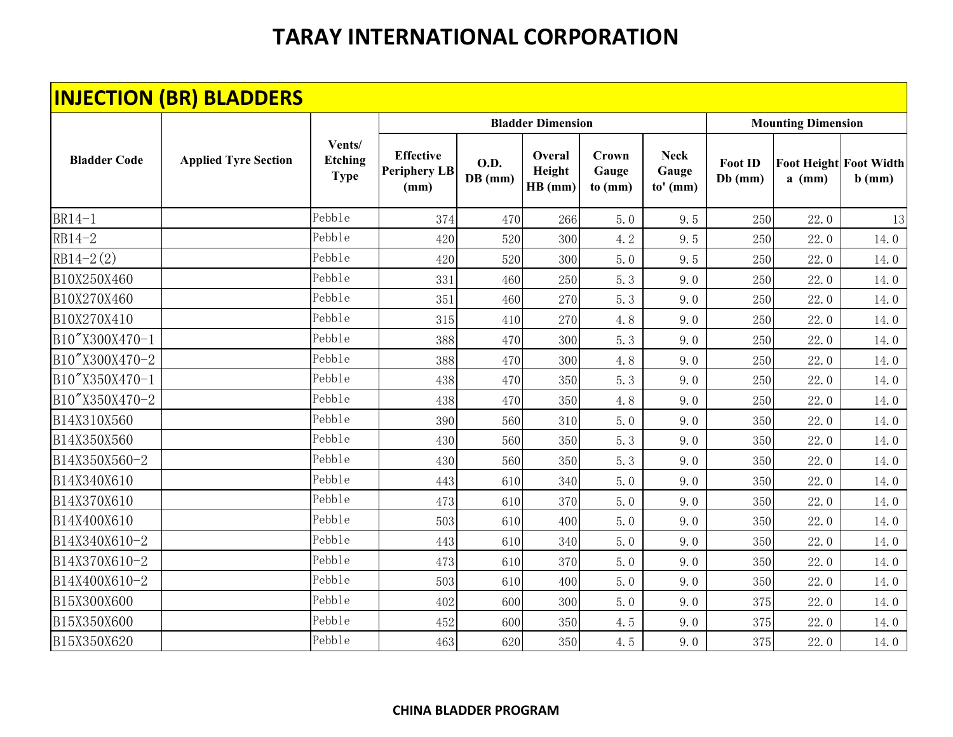|                     | <b>INJECTION (BR) BLADDERS</b> |                                         |                                                 |                        |                             |                                  |                                    |                             |                           |                                           |
|---------------------|--------------------------------|-----------------------------------------|-------------------------------------------------|------------------------|-----------------------------|----------------------------------|------------------------------------|-----------------------------|---------------------------|-------------------------------------------|
|                     |                                |                                         |                                                 |                        | <b>Bladder Dimension</b>    |                                  |                                    |                             | <b>Mounting Dimension</b> |                                           |
| <b>Bladder Code</b> | <b>Applied Tyre Section</b>    | Vents/<br><b>Etching</b><br><b>Type</b> | <b>Effective</b><br><b>Periphery LB</b><br>(mm) | <b>O.D.</b><br>DB (mm) | Overal<br>Height<br>HB (mm) | <b>Crown</b><br>Gauge<br>to (mm) | <b>Neck</b><br>Gauge<br>$to'$ (mm) | <b>Foot ID</b><br>$Db$ (mm) | $a$ (mm)                  | <b>Foot Height Foot Width</b><br>$b$ (mm) |
| $BR14-1$            |                                | Pebble                                  | 374                                             | 470                    | 266                         | 5.0                              | 9.5                                | 250                         | 22.0                      | 13                                        |
| RB14-2              |                                | Pebble                                  | 420                                             | 520                    | 300                         | 4.2                              | 9.5                                | 250                         | 22.0                      | 14.0                                      |
| $RB14-2(2)$         |                                | Pebble                                  | 420                                             | 520                    | 300                         | 5.0                              | 9.5                                | 250                         | 22.0                      | 14.0                                      |
| B10X250X460         |                                | Pebble                                  | 331                                             | 460                    | 250                         | 5.3                              | 9.0                                | 250                         | 22.0                      | 14.0                                      |
| B10X270X460         |                                | Pebble                                  | 351                                             | 460                    | 270                         | 5.3                              | 9.0                                | 250                         | 22.0                      | 14.0                                      |
| B10X270X410         |                                | Pebble                                  | 315                                             | 410                    | 270                         | 4.8                              | 9.0                                | 250                         | 22.0                      | 14.0                                      |
| B10"X300X470-1      |                                | Pebble                                  | 388                                             | 470                    | 300                         | 5.3                              | 9.0                                | 250                         | 22.0                      | 14.0                                      |
| B10"X300X470-2      |                                | Pebble                                  | 388                                             | 470                    | 300                         | 4.8                              | 9.0                                | 250                         | 22.0                      | 14.0                                      |
| B10"X350X470-1      |                                | Pebble                                  | 438                                             | 470                    | 350                         | 5.3                              | 9.0                                | 250                         | 22.0                      | 14.0                                      |
| B10"X350X470-2      |                                | Pebble                                  | 438                                             | 470                    | 350                         | 4.8                              | 9.0                                | 250                         | 22.0                      | 14.0                                      |
| B14X310X560         |                                | Pebble                                  | 390                                             | 560                    | 310                         | 5.0                              | 9.0                                | 350                         | 22.0                      | 14.0                                      |
| B14X350X560         |                                | Pebble                                  | 430                                             | 560                    | 350                         | 5.3                              | 9.0                                | 350                         | 22.0                      | 14.0                                      |
| B14X350X560-2       |                                | Pebble                                  | 430                                             | 560                    | 350                         | 5.3                              | 9.0                                | 350                         | 22.0                      | 14.0                                      |
| B14X340X610         |                                | Pebble                                  | 443                                             | 610                    | 340                         | 5.0                              | 9.0                                | 350                         | 22.0                      | 14.0                                      |
| B14X370X610         |                                | Pebble                                  | 473                                             | 610                    | 370                         | 5.0                              | 9.0                                | 350                         | 22.0                      | 14.0                                      |
| B14X400X610         |                                | Pebble                                  | 503                                             | 610                    | 400                         | 5.0                              | 9.0                                | 350                         | 22.0                      | 14.0                                      |
| B14X340X610-2       |                                | Pebble                                  | 443                                             | 610                    | 340                         | 5.0                              | 9.0                                | 350                         | 22.0                      | 14.0                                      |
| B14X370X610-2       |                                | Pebble                                  | 473                                             | 610                    | 370                         | 5.0                              | 9.0                                | 350                         | 22.0                      | 14.0                                      |
| B14X400X610-2       |                                | Pebble                                  | 503                                             | 610                    | 400                         | 5.0                              | 9.0                                | 350                         | 22.0                      | 14.0                                      |
| B15X300X600         |                                | Pebble                                  | 402                                             | 600                    | 300                         | 5.0                              | 9.0                                | 375                         | 22.0                      | 14.0                                      |
| B15X350X600         |                                | Pebble                                  | 452                                             | 600                    | 350                         | 4.5                              | 9.0                                | 375                         | 22.0                      | 14.0                                      |
| B15X350X620         |                                | Pebble                                  | 463                                             | 620                    | 350                         | 4.5                              | 9.0                                | 375                         | 22.0                      | 14.0                                      |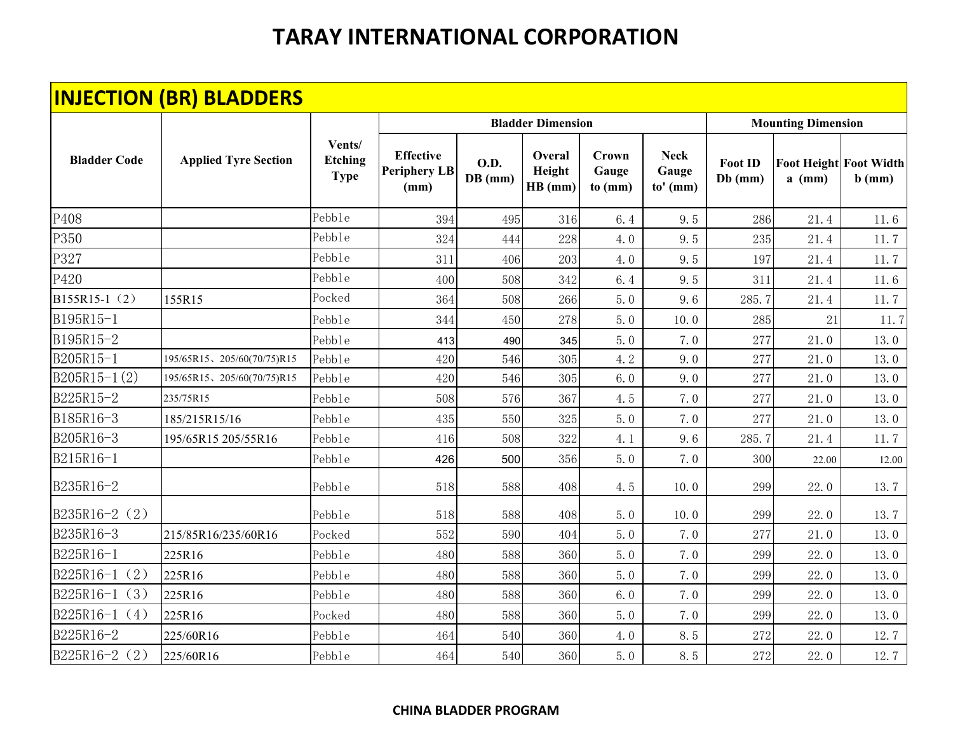|                     | <b>INJECTION (BR) BLADDERS</b> |                                         |                                                 |                          |                             |                           |                                    |                             |                           |                                           |
|---------------------|--------------------------------|-----------------------------------------|-------------------------------------------------|--------------------------|-----------------------------|---------------------------|------------------------------------|-----------------------------|---------------------------|-------------------------------------------|
|                     |                                |                                         |                                                 |                          | <b>Bladder Dimension</b>    |                           |                                    |                             | <b>Mounting Dimension</b> |                                           |
| <b>Bladder Code</b> | <b>Applied Tyre Section</b>    | Vents/<br><b>Etching</b><br><b>Type</b> | <b>Effective</b><br><b>Periphery LB</b><br>(mm) | <b>O.D.</b><br>$DB$ (mm) | Overal<br>Height<br>HB (mm) | Crown<br>Gauge<br>to (mm) | <b>Neck</b><br>Gauge<br>$to'$ (mm) | <b>Foot ID</b><br>$Db$ (mm) | $a$ (mm)                  | <b>Foot Height Foot Width</b><br>$b$ (mm) |
| P408                |                                | Pebble                                  | 394                                             | 495                      | 316                         | 6.4                       | 9.5                                | 286                         | 21.4                      | 11.6                                      |
| P350                |                                | Pebble                                  | 324                                             | 444                      | 228                         | 4.0                       | 9.5                                | 235                         | 21.4                      | 11.7                                      |
| P327                |                                | Pebble                                  | 311                                             | 406                      | 203                         | 4.0                       | 9.5                                | 197                         | 21.4                      | 11.7                                      |
| P420                |                                | Pebble                                  | 400                                             | 508                      | 342                         | 6.4                       | 9.5                                | 311                         | 21.4                      | 11.6                                      |
| B155R15-1 (2)       | 155R15                         | Pocked                                  | 364                                             | 508                      | 266                         | 5.0                       | 9.6                                | 285.7                       | 21.4                      | 11.7                                      |
| B195R15-1           |                                | Pebble                                  | 344                                             | 450                      | 278                         | 5.0                       | 10.0                               | 285                         | 21                        | 11.7                                      |
| B195R15-2           |                                | Pebble                                  | 413                                             | 490                      | 345                         | 5.0                       | 7.0                                | 277                         | 21.0                      | 13.0                                      |
| B205R15-1           | 195/65R15、205/60(70/75)R15     | Pebble                                  | 420                                             | 546                      | 305                         | 4.2                       | 9.0                                | 277                         | 21.0                      | 13.0                                      |
| $B205R15-1(2)$      | 195/65R15、205/60(70/75)R15     | Pebble                                  | 420                                             | 546                      | 305                         | 6.0                       | 9.0                                | 277                         | 21.0                      | 13.0                                      |
| B225R15-2           | 235/75R15                      | Pebble                                  | 508                                             | 576                      | 367                         | 4.5                       | 7.0                                | 277                         | 21.0                      | 13.0                                      |
| B185R16-3           | 185/215R15/16                  | Pebble                                  | 435                                             | 550                      | 325                         | 5.0                       | 7.0                                | 277                         | 21.0                      | 13.0                                      |
| B205R16-3           | 195/65R15 205/55R16            | Pebble                                  | 416                                             | 508                      | 322                         | 4.1                       | 9.6                                | 285.7                       | 21.4                      | 11.7                                      |
| B215R16-1           |                                | Pebble                                  | 426                                             | 500                      | 356                         | 5.0                       | 7.0                                | 300                         | 22.00                     | 12.00                                     |
| B235R16-2           |                                | Pebble                                  | 518                                             | 588                      | 408                         | 4.5                       | 10.0                               | 299                         | 22.0                      | 13.7                                      |
| B235R16-2 (2)       |                                | Pebble                                  | 518                                             | 588                      | 408                         | 5.0                       | 10.0                               | 299                         | 22.0                      | 13.7                                      |
| B235R16-3           | 215/85R16/235/60R16            | Pocked                                  | 552                                             | 590                      | 404                         | 5.0                       | 7.0                                | 277                         | 21.0                      | 13.0                                      |
| B225R16-1           | 225R16                         | Pebble                                  | 480                                             | 588                      | 360                         | 5.0                       | 7.0                                | 299                         | 22.0                      | 13.0                                      |
| (2)<br>B225R16-1    | 225R16                         | Pebble                                  | 480                                             | 588                      | 360                         | 5.0                       | 7.0                                | 299                         | 22.0                      | 13.0                                      |
| $B225R16-1(3)$      | 225R16                         | Pebble                                  | 480                                             | 588                      | 360                         | 6.0                       | 7.0                                | 299                         | 22.0                      | 13.0                                      |
| B225R16-1 $(4)$     | 225R16                         | Pocked                                  | 480                                             | 588                      | 360                         | 5.0                       | 7.0                                | 299                         | 22.0                      | 13.0                                      |
| B225R16-2           | 225/60R16                      | Pebble                                  | 464                                             | 540                      | 360                         | 4.0                       | 8.5                                | 272                         | 22.0                      | 12.7                                      |
| B225R16-2 (2)       | 225/60R16                      | Pebble                                  | 464                                             | 540                      | 360                         | 5.0                       | 8.5                                | 272                         | 22.0                      | 12.7                                      |

#### **CHINA BLADDER PROGRAM**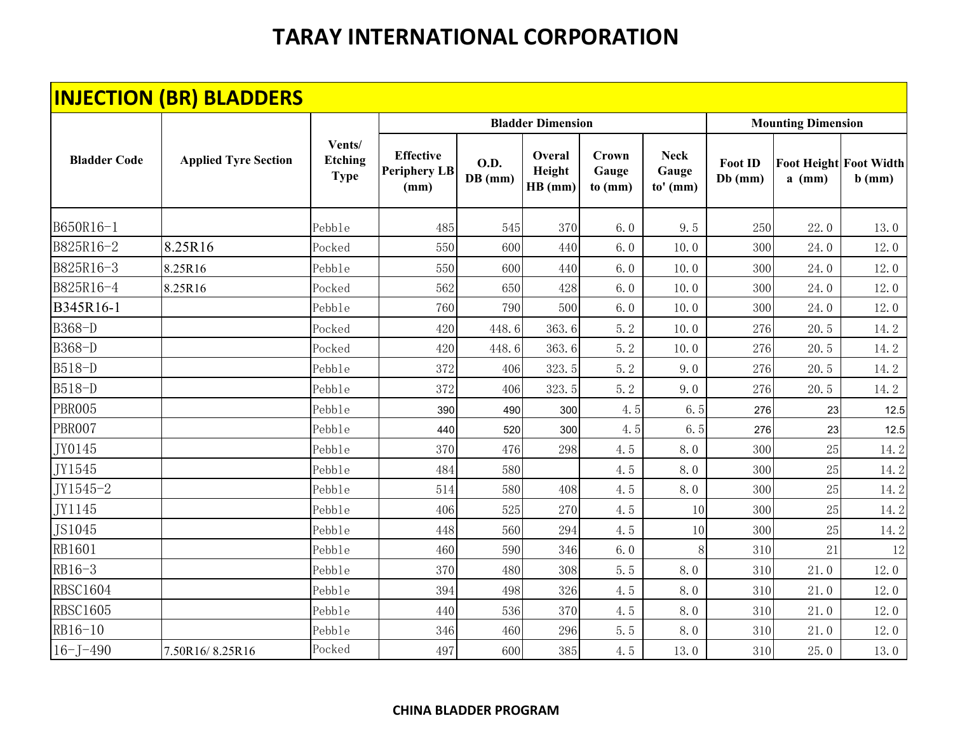|                     | <b>INJECTION (BR) BLADDERS</b> |                                         |                                                 |                        |                             |                                  |                                    |                             |                                           |          |
|---------------------|--------------------------------|-----------------------------------------|-------------------------------------------------|------------------------|-----------------------------|----------------------------------|------------------------------------|-----------------------------|-------------------------------------------|----------|
|                     |                                |                                         |                                                 |                        | <b>Bladder Dimension</b>    |                                  |                                    |                             | <b>Mounting Dimension</b>                 |          |
| <b>Bladder Code</b> | <b>Applied Tyre Section</b>    | Vents/<br><b>Etching</b><br><b>Type</b> | <b>Effective</b><br><b>Periphery LB</b><br>(mm) | <b>O.D.</b><br>DB (mm) | Overal<br>Height<br>HB (mm) | <b>Crown</b><br>Gauge<br>to (mm) | <b>Neck</b><br>Gauge<br>$to'$ (mm) | <b>Foot ID</b><br>$Db$ (mm) | <b>Foot Height Foot Width</b><br>$a$ (mm) | $b$ (mm) |
| B650R16-1           |                                | Pebble                                  | 485                                             | 545                    | 370                         | 6.0                              | 9.5                                | 250                         | 22.0                                      | 13.0     |
| B825R16-2           | 8.25R16                        | Pocked                                  | 550                                             | 600                    | 440                         | 6.0                              | 10.0                               | 300                         | 24.0                                      | 12.0     |
| B825R16-3           | 8.25R16                        | Pebble                                  | 550                                             | 600                    | 440                         | 6.0                              | 10.0                               | 300                         | 24.0                                      | 12.0     |
| B825R16-4           | 8.25R16                        | Pocked                                  | 562                                             | 650                    | 428                         | 6.0                              | 10.0                               | 300                         | 24.0                                      | 12.0     |
| B345R16-1           |                                | Pebble                                  | 760                                             | 790                    | 500                         | 6.0                              | 10.0                               | 300                         | 24.0                                      | 12.0     |
| B368-D              |                                | Pocked                                  | 420                                             | 448.6                  | 363.6                       | 5.2                              | 10.0                               | 276                         | 20.5                                      | 14.2     |
| B368-D              |                                | Pocked                                  | 420                                             | 448.6                  | 363.6                       | 5.2                              | 10.0                               | 276                         | 20.5                                      | 14.2     |
| B518-D              |                                | Pebble                                  | 372                                             | 406                    | 323.5                       | 5.2                              | 9.0                                | 276                         | 20.5                                      | 14.2     |
| B518-D              |                                | Pebble                                  | 372                                             | 406                    | 323.5                       | 5.2                              | 9.0                                | 276                         | 20.5                                      | 14.2     |
| PBR005              |                                | Pebble                                  | 390                                             | 490                    | 300                         | 4.5                              | 6.5                                | 276                         | 23                                        | 12.5     |
| PBR007              |                                | Pebble                                  | 440                                             | 520                    | 300                         | 4.5                              | 6.5                                | 276                         | 23                                        | 12.5     |
| JY0145              |                                | Pebble                                  | 370                                             | 476                    | 298                         | 4.5                              | 8.0                                | 300                         | $25\,$                                    | 14.2     |
| JY1545              |                                | Pebble                                  | 484                                             | 580                    |                             | 4.5                              | 8.0                                | 300                         | $25\,$                                    | 14.2     |
| JY1545-2            |                                | Pebble                                  | 514                                             | 580                    | 408                         | 4.5                              | 8.0                                | 300                         | $25\,$                                    | 14.2     |
| JY1145              |                                | Pebble                                  | 406                                             | 525                    | 270                         | 4.5                              | 10                                 | 300                         | $25\,$                                    | 14.2     |
| JS1045              |                                | Pebble                                  | 448                                             | 560                    | 294                         | 4.5                              | 10                                 | 300                         | 25                                        | 14.2     |
| RB1601              |                                | Pebble                                  | 460                                             | 590                    | 346                         | 6.0                              | 8                                  | 310                         | 21                                        | 12       |
| RB16-3              |                                | Pebble                                  | 370                                             | 480                    | 308                         | 5.5                              | 8.0                                | 310                         | 21.0                                      | 12.0     |
| <b>RBSC1604</b>     |                                | Pebble                                  | 394                                             | 498                    | 326                         | 4.5                              | 8.0                                | 310                         | 21.0                                      | 12.0     |
| <b>RBSC1605</b>     |                                | Pebble                                  | 440                                             | 536                    | 370                         | 4.5                              | 8.0                                | 310                         | 21.0                                      | 12.0     |
| RB16-10             |                                | Pebble                                  | 346                                             | 460                    | 296                         | 5.5                              | 8.0                                | 310                         | 21.0                                      | 12.0     |
| $16 - J - 490$      | 7.50R16/8.25R16                | Pocked                                  | 497                                             | 600                    | 385                         | 4.5                              | 13.0                               | 310                         | 25.0                                      | 13.0     |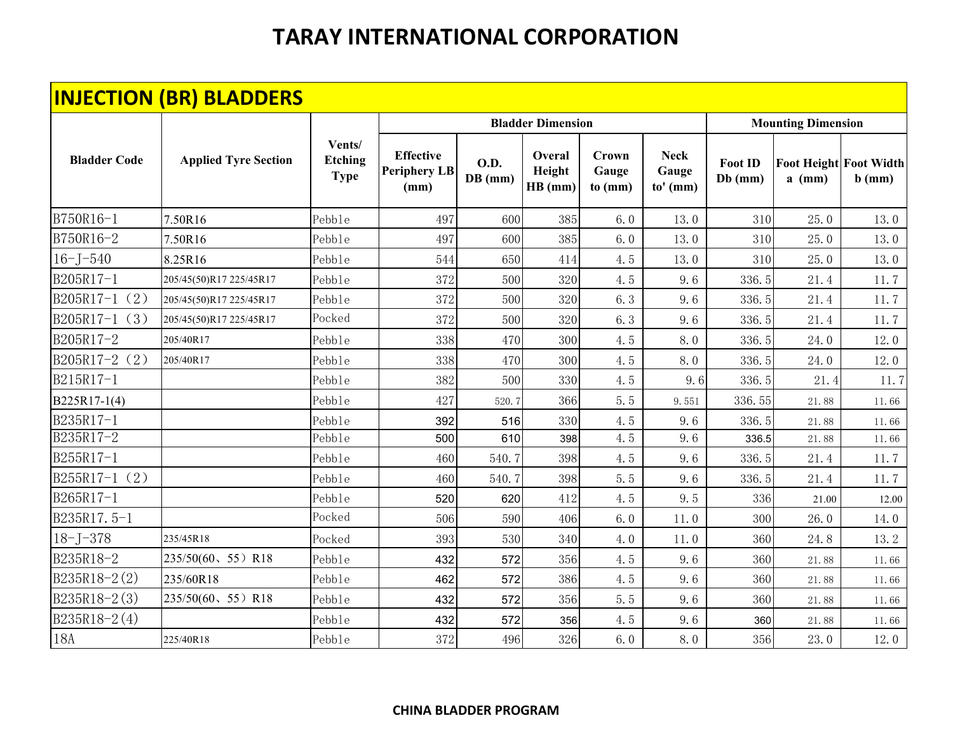|                     | <b>INJECTION (BR) BLADDERS</b> |                                  |                                                 |                        |                             |                                  |                                    |                             |                           |                                           |
|---------------------|--------------------------------|----------------------------------|-------------------------------------------------|------------------------|-----------------------------|----------------------------------|------------------------------------|-----------------------------|---------------------------|-------------------------------------------|
|                     |                                |                                  |                                                 |                        | <b>Bladder Dimension</b>    |                                  |                                    |                             | <b>Mounting Dimension</b> |                                           |
| <b>Bladder Code</b> | <b>Applied Tyre Section</b>    | Vents/<br>Etching<br><b>Type</b> | <b>Effective</b><br><b>Periphery LB</b><br>(mm) | <b>O.D.</b><br>DB (mm) | Overal<br>Height<br>HB (mm) | <b>Crown</b><br>Gauge<br>to (mm) | <b>Neck</b><br>Gauge<br>$to'$ (mm) | <b>Foot ID</b><br>$Db$ (mm) | $a$ (mm)                  | <b>Foot Height Foot Width</b><br>$b$ (mm) |
| B750R16-1           | 7.50R16                        | Pebble                           | 497                                             | 600                    | 385                         | 6.0                              | 13.0                               | 310                         | 25.0                      | 13.0                                      |
| B750R16-2           | 7.50R16                        | Pebble                           | 497                                             | 600                    | 385                         | 6.0                              | 13.0                               | 310                         | 25.0                      | 13.0                                      |
| $16 - J - 540$      | 8.25R16                        | Pebble                           | 544                                             | 650                    | 414                         | 4.5                              | 13.0                               | 310                         | 25.0                      | 13.0                                      |
| B205R17-1           | 205/45(50)R17 225/45R17        | Pebble                           | 372                                             | 500                    | 320                         | 4.5                              | 9.6                                | 336.5                       | 21.4                      | 11.7                                      |
| $B205R17-1(2)$      | 205/45(50)R17 225/45R17        | Pebble                           | 372                                             | 500                    | 320                         | 6.3                              | 9.6                                | 336.5                       | 21.4                      | 11.7                                      |
| B205R17-1<br>(3)    | 205/45(50)R17 225/45R17        | Pocked                           | 372                                             | 500                    | 320                         | 6.3                              | 9.6                                | 336.5                       | 21.4                      | 11.7                                      |
| B205R17-2           | 205/40R17                      | Pebble                           | 338                                             | 470                    | 300                         | 4.5                              | 8.0                                | 336.5                       | 24.0                      | 12.0                                      |
| B205R17-2 (2)       | 205/40R17                      | Pebble                           | 338                                             | 470                    | 300                         | 4.5                              | 8.0                                | 336.5                       | 24.0                      | 12.0                                      |
| B215R17-1           |                                | Pebble                           | 382                                             | 500                    | 330                         | 4.5                              | 9.6                                | 336.5                       | 21.4                      | 11.7                                      |
| B225R17-1(4)        |                                | Pebble                           | 427                                             | 520.7                  | 366                         | 5.5                              | 9.551                              | 336.55                      | 21.88                     | 11.66                                     |
| B235R17-1           |                                | Pebble                           | 392                                             | 516                    | 330                         | 4.5                              | 9.6                                | 336.5                       | 21.88                     | 11.66                                     |
| B235R17-2           |                                | Pebble                           | 500                                             | 610                    | 398                         | 4.5                              | 9.6                                | 336.5                       | 21.88                     | 11.66                                     |
| B255R17-1           |                                | Pebble                           | 460                                             | 540.7                  | 398                         | 4.5                              | 9.6                                | 336.5                       | 21.4                      | 11.7                                      |
| $B255R17-1(2)$      |                                | Pebble                           | 460                                             | 540.7                  | 398                         | 5.5                              | 9.6                                | 336.5                       | 21.4                      | 11.7                                      |
| B265R17-1           |                                | Pebble                           | 520                                             | 620                    | 412                         | 4.5                              | 9.5                                | 336                         | 21.00                     | 12.00                                     |
| B235R17.5-1         |                                | Pocked                           | 506                                             | 590                    | 406                         | 6.0                              | 11.0                               | 300                         | 26.0                      | 14.0                                      |
| $18 - J - 378$      | 235/45R18                      | Pocked                           | 393                                             | 530                    | 340                         | 4.0                              | 11.0                               | 360                         | 24.8                      | 13.2                                      |
| B235R18-2           | 235/50(60、55)R18               | Pebble                           | 432                                             | 572                    | 356                         | 4.5                              | 9.6                                | 360                         | 21.88                     | 11.66                                     |
| B235R18-2(2)        | 235/60R18                      | Pebble                           | 462                                             | 572                    | 386                         | 4.5                              | 9.6                                | 360                         | 21.88                     | 11.66                                     |
| $B235R18-2(3)$      | $235/50(60, 55)$ R18           | Pebble                           | 432                                             | 572                    | 356                         | 5.5                              | 9.6                                | 360                         | 21.88                     | 11.66                                     |
| $B235R18 - 2(4)$    |                                | Pebble                           | 432                                             | 572                    | 356                         | 4.5                              | 9.6                                | 360                         | 21.88                     | 11.66                                     |
| 18A                 | 225/40R18                      | Pebble                           | 372                                             | 496                    | 326                         | 6.0                              | 8.0                                | 356                         | 23.0                      | 12.0                                      |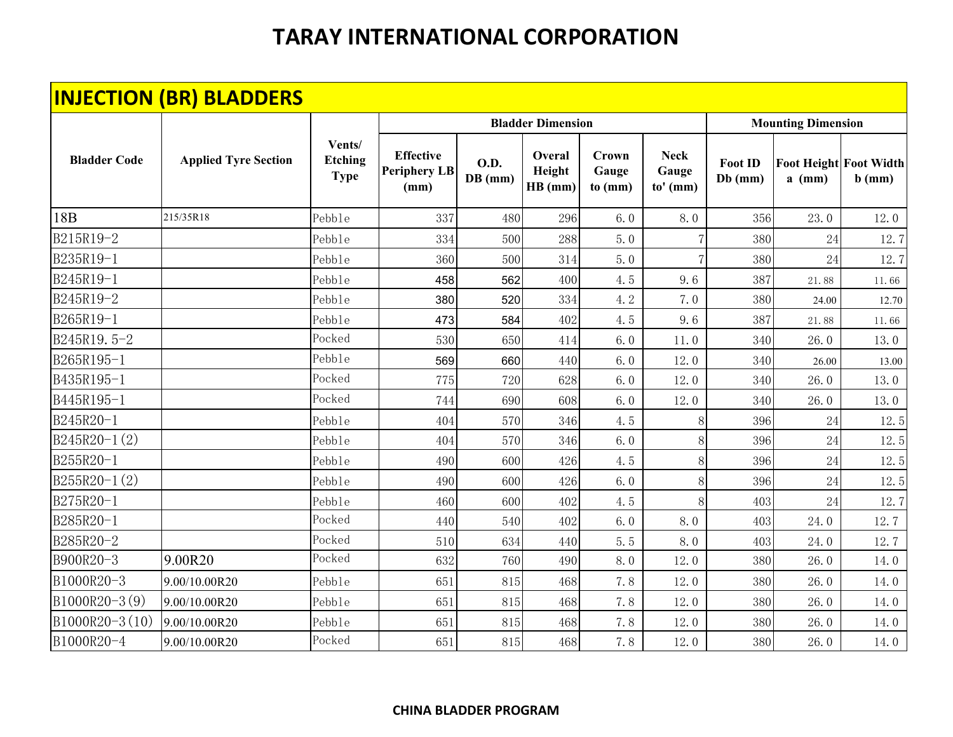|                     | <b>INJECTION (BR) BLADDERS</b> |                                         |                                                 |                          |                             |                           |                                    |                             |                           |                                           |
|---------------------|--------------------------------|-----------------------------------------|-------------------------------------------------|--------------------------|-----------------------------|---------------------------|------------------------------------|-----------------------------|---------------------------|-------------------------------------------|
|                     |                                |                                         |                                                 |                          | <b>Bladder Dimension</b>    |                           |                                    |                             | <b>Mounting Dimension</b> |                                           |
| <b>Bladder Code</b> | <b>Applied Tyre Section</b>    | Vents/<br><b>Etching</b><br><b>Type</b> | <b>Effective</b><br><b>Periphery LB</b><br>(mm) | <b>O.D.</b><br>$DB$ (mm) | Overal<br>Height<br>HB (mm) | Crown<br>Gauge<br>to (mm) | <b>Neck</b><br>Gauge<br>$to'$ (mm) | <b>Foot ID</b><br>$Db$ (mm) | $a$ (mm)                  | <b>Foot Height Foot Width</b><br>$b$ (mm) |
| 18 <sub>B</sub>     | 215/35R18                      | Pebble                                  | 337                                             | 480                      | 296                         | 6.0                       | 8.0                                | 356                         | 23.0                      | 12.0                                      |
| B215R19-2           |                                | Pebble                                  | 334                                             | 500                      | 288                         | 5.0                       |                                    | 380                         | 24                        | 12.7                                      |
| B235R19-1           |                                | Pebble                                  | 360                                             | 500                      | 314                         | 5.0                       |                                    | 380                         | 24                        | 12.7                                      |
| B245R19-1           |                                | Pebble                                  | 458                                             | 562                      | 400                         | 4.5                       | 9.6                                | 387                         | 21.88                     | 11.66                                     |
| B245R19-2           |                                | Pebble                                  | 380                                             | 520                      | 334                         | 4.2                       | 7.0                                | 380                         | 24.00                     | 12.70                                     |
| B265R19-1           |                                | Pebble                                  | 473                                             | 584                      | 402                         | 4.5                       | 9.6                                | 387                         | 21.88                     | 11.66                                     |
| B245R19.5-2         |                                | Pocked                                  | 530                                             | 650                      | 414                         | 6.0                       | 11.0                               | 340                         | 26.0                      | 13.0                                      |
| B265R195-1          |                                | Pebble                                  | 569                                             | 660                      | 440                         | 6.0                       | 12.0                               | 340                         | 26.00                     | 13.00                                     |
| B435R195-1          |                                | Pocked                                  | 775                                             | 720                      | 628                         | 6.0                       | 12.0                               | 340                         | 26.0                      | 13.0                                      |
| B445R195-1          |                                | Pocked                                  | 744                                             | 690                      | 608                         | 6.0                       | 12.0                               | 340                         | 26.0                      | 13.0                                      |
| B245R20-1           |                                | Pebble                                  | 404                                             | 570                      | 346                         | 4.5                       |                                    | 396                         | 24                        | 12.5                                      |
| $B245R20-1(2)$      |                                | Pebble                                  | 404                                             | 570                      | 346                         | 6.0                       | 8                                  | 396                         | 24                        | 12.5                                      |
| B255R20-1           |                                | Pebble                                  | 490                                             | 600                      | 426                         | 4.5                       | 8                                  | 396                         | 24                        | 12.5                                      |
| $B255R20-1(2)$      |                                | Pebble                                  | 490                                             | 600                      | 426                         | 6.0                       | 8                                  | 396                         | 24                        | 12.5                                      |
| B275R20-1           |                                | Pebble                                  | 460                                             | 600                      | 402                         | 4.5                       |                                    | 403                         | 24                        | 12.7                                      |
| B285R20-1           |                                | Pocked                                  | 440                                             | 540                      | 402                         | 6.0                       | 8.0                                | 403                         | 24.0                      | 12.7                                      |
| B285R20-2           |                                | Pocked                                  | 510                                             | 634                      | 440                         | 5.5                       | 8.0                                | 403                         | 24.0                      | 12.7                                      |
| B900R20-3           | 9.00R20                        | Pocked                                  | 632                                             | 760                      | 490                         | 8.0                       | 12.0                               | 380                         | 26.0                      | 14.0                                      |
| B1000R20-3          | 9.00/10.00R20                  | Pebble                                  | 651                                             | 815                      | 468                         | 7.8                       | 12.0                               | 380                         | 26.0                      | 14.0                                      |
| B1000R20-3(9)       | 9.00/10.00R20                  | Pebble                                  | 651                                             | 815                      | 468                         | 7.8                       | 12.0                               | 380                         | 26.0                      | 14.0                                      |
| B1000R20-3(10)      | 9.00/10.00R20                  | Pebble                                  | 651                                             | 815                      | 468                         | 7.8                       | 12.0                               | 380                         | 26.0                      | 14.0                                      |
| B1000R20-4          | 9.00/10.00R20                  | Pocked                                  | 651                                             | 815                      | 468                         | 7.8                       | 12.0                               | 380                         | 26.0                      | 14.0                                      |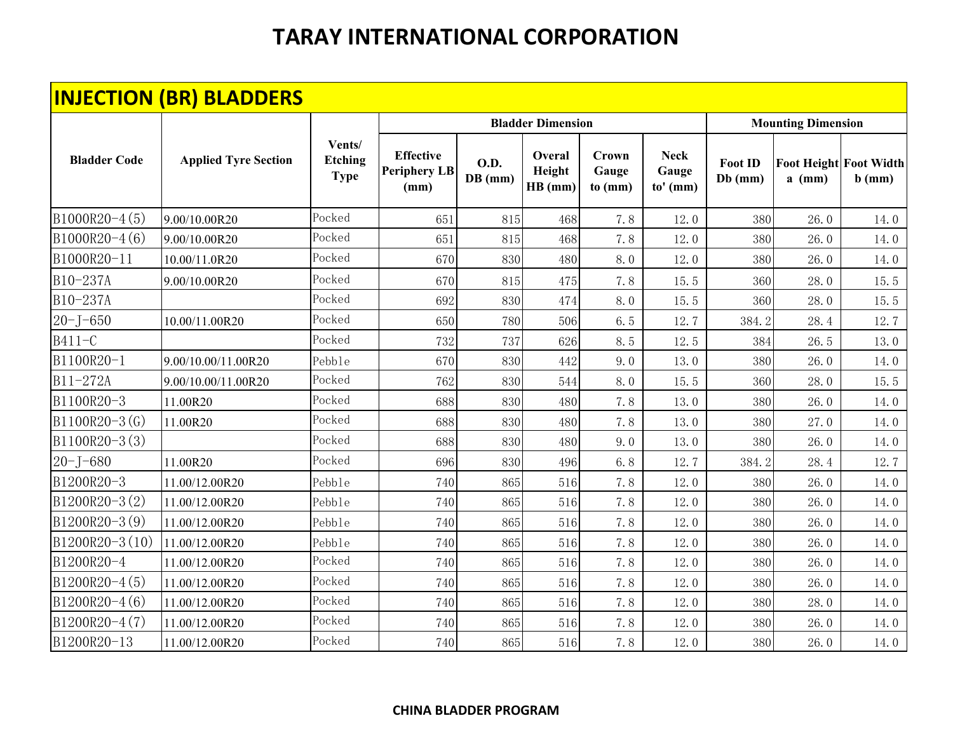|                     | <b>INJECTION (BR) BLADDERS</b> |                                         |                                                 |                        |                             |                           |                                  |                             |                                           |          |
|---------------------|--------------------------------|-----------------------------------------|-------------------------------------------------|------------------------|-----------------------------|---------------------------|----------------------------------|-----------------------------|-------------------------------------------|----------|
|                     |                                |                                         |                                                 |                        | <b>Bladder Dimension</b>    |                           |                                  |                             | <b>Mounting Dimension</b>                 |          |
| <b>Bladder Code</b> | <b>Applied Tyre Section</b>    | Vents/<br><b>Etching</b><br><b>Type</b> | <b>Effective</b><br><b>Periphery LB</b><br>(mm) | <b>O.D.</b><br>DB (mm) | Overal<br>Height<br>HB (mm) | Crown<br>Gauge<br>to (mm) | <b>Neck</b><br>Gauge<br>to' (mm) | <b>Foot ID</b><br>$Db$ (mm) | <b>Foot Height Foot Width</b><br>$a$ (mm) | $b$ (mm) |
| B1000R20-4(5)       | 9.00/10.00R20                  | Pocked                                  | 651                                             | 815                    | 468                         | 7.8                       | 12.0                             | 380                         | 26.0                                      | 14.0     |
| B1000R20-4(6)       | 9.00/10.00R20                  | Pocked                                  | 651                                             | 815                    | 468                         | 7.8                       | 12.0                             | 380                         | 26.0                                      | 14.0     |
| B1000R20-11         | 10.00/11.0R20                  | Pocked                                  | 670                                             | 830                    | 480                         | 8.0                       | 12.0                             | 380                         | 26.0                                      | 14.0     |
| B10-237A            | 9.00/10.00R20                  | Pocked                                  | 670                                             | 815                    | 475                         | 7.8                       | 15.5                             | 360                         | 28.0                                      | 15.5     |
| B10-237A            |                                | Pocked                                  | 692                                             | 830                    | 474                         | 8.0                       | 15.5                             | 360                         | 28.0                                      | 15.5     |
| $20 - J - 650$      | 10.00/11.00R20                 | Pocked                                  | 650                                             | 780                    | 506                         | 6.5                       | 12.7                             | 384.2                       | 28.4                                      | 12.7     |
| B411-C              |                                | Pocked                                  | 732                                             | 737                    | 626                         | 8.5                       | 12.5                             | 384                         | 26.5                                      | 13.0     |
| B1100R20-1          | 9.00/10.00/11.00R20            | Pebble                                  | 670                                             | 830                    | 442                         | 9.0                       | 13.0                             | 380                         | 26.0                                      | 14.0     |
| B11-272A            | 9.00/10.00/11.00R20            | Pocked                                  | 762                                             | 830                    | 544                         | 8.0                       | 15.5                             | 360                         | 28.0                                      | 15.5     |
| B1100R20-3          | 11.00R20                       | Pocked                                  | 688                                             | 830                    | 480                         | 7.8                       | 13.0                             | 380                         | 26.0                                      | 14.0     |
| B1100R20-3(G)       | 11.00R20                       | Pocked                                  | 688                                             | 830                    | 480                         | 7.8                       | 13.0                             | 380                         | 27.0                                      | 14.0     |
| $B1100R20-3(3)$     |                                | Pocked                                  | 688                                             | 830                    | 480                         | 9.0                       | 13.0                             | 380                         | 26.0                                      | 14.0     |
| $20 - J - 680$      | 11.00R20                       | Pocked                                  | 696                                             | 830                    | 496                         | 6.8                       | 12.7                             | 384.2                       | 28.4                                      | 12.7     |
| B1200R20-3          | 11.00/12.00R20                 | Pebble                                  | 740                                             | 865                    | 516                         | 7.8                       | 12.0                             | 380                         | 26.0                                      | 14.0     |
| $B1200R20-3(2)$     | 11.00/12.00R20                 | Pebble                                  | 740                                             | 865                    | 516                         | 7.8                       | 12.0                             | 380                         | 26.0                                      | 14.0     |
| B1200R20-3(9)       | 11.00/12.00R20                 | Pebble                                  | 740                                             | 865                    | 516                         | 7.8                       | 12.0                             | 380                         | 26.0                                      | 14.0     |
| $B1200R20-3(10)$    | 11.00/12.00R20                 | Pebble                                  | 740                                             | 865                    | 516                         | 7.8                       | 12.0                             | 380                         | 26.0                                      | 14.0     |
| B1200R20-4          | 11.00/12.00R20                 | Pocked                                  | 740                                             | 865                    | 516                         | 7.8                       | 12.0                             | 380                         | 26.0                                      | 14.0     |
| B1200R20-4(5)       | 11.00/12.00R20                 | Pocked                                  | 740                                             | 865                    | 516                         | 7.8                       | 12.0                             | 380                         | 26.0                                      | 14.0     |
| B1200R20-4(6)       | 11.00/12.00R20                 | Pocked                                  | 740                                             | 865                    | 516                         | 7.8                       | 12.0                             | 380                         | 28.0                                      | 14.0     |
| B1200R20-4(7)       | 11.00/12.00R20                 | Pocked                                  | 740                                             | 865                    | 516                         | 7.8                       | 12.0                             | 380                         | 26.0                                      | 14.0     |
| B1200R20-13         | 11.00/12.00R20                 | Pocked                                  | 740                                             | 865                    | 516                         | 7.8                       | 12.0                             | 380                         | 26.0                                      | 14.0     |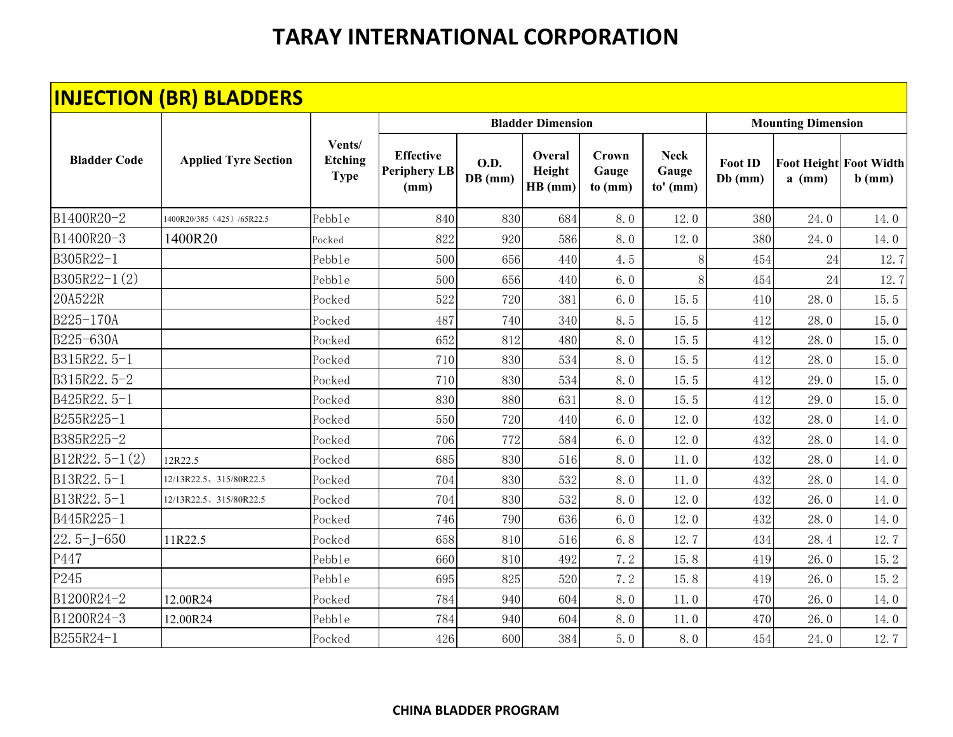|                     | <b>INJECTION (BR) BLADDERS</b> |                                         |                                                 |                          |                             |                                  |                                    |                             |                           |                                           |
|---------------------|--------------------------------|-----------------------------------------|-------------------------------------------------|--------------------------|-----------------------------|----------------------------------|------------------------------------|-----------------------------|---------------------------|-------------------------------------------|
|                     |                                |                                         |                                                 |                          | <b>Bladder Dimension</b>    |                                  |                                    |                             | <b>Mounting Dimension</b> |                                           |
| <b>Bladder Code</b> | <b>Applied Tyre Section</b>    | Vents/<br><b>Etching</b><br><b>Type</b> | <b>Effective</b><br><b>Periphery LB</b><br>(mm) | <b>O.D.</b><br>$DB$ (mm) | Overal<br>Height<br>HB (mm) | <b>Crown</b><br>Gauge<br>to (mm) | <b>Neck</b><br>Gauge<br>$to'$ (mm) | <b>Foot ID</b><br>$Db$ (mm) | $a$ (mm)                  | <b>Foot Height Foot Width</b><br>$b$ (mm) |
| B1400R20-2          | 1400R20/385 (425) /65R22.5     | Pebble                                  | 840                                             | 830                      | 684                         | 8.0                              | 12.0                               | 380                         | 24.0                      | 14.0                                      |
| B1400R20-3          | 1400R20                        | Pocked                                  | 822                                             | 920                      | 586                         | 8.0                              | 12.0                               | 380                         | 24.0                      | 14.0                                      |
| B305R22-1           |                                | Pebble                                  | 500                                             | 656                      | 440                         | 4.5                              | 8                                  | 454                         | 24                        | 12.7                                      |
| $B305R22-1(2)$      |                                | Pebble                                  | 500                                             | 656                      | 440                         | 6.0                              | 8                                  | 454                         | $24\,$                    | 12.7                                      |
| 20A522R             |                                | Pocked                                  | 522                                             | 720                      | 381                         | 6.0                              | 15.5                               | 410                         | 28.0                      | 15.5                                      |
| B225-170A           |                                | Pocked                                  | 487                                             | 740                      | 340                         | 8.5                              | 15.5                               | 412                         | 28.0                      | 15.0                                      |
| B225-630A           |                                | Pocked                                  | 652                                             | 812                      | 480                         | 8.0                              | 15.5                               | 412                         | 28.0                      | 15.0                                      |
| B315R22.5-1         |                                | Pocked                                  | 710                                             | 830                      | 534                         | 8.0                              | 15.5                               | 412                         | 28.0                      | 15.0                                      |
| B315R22.5-2         |                                | Pocked                                  | 710                                             | 830                      | 534                         | 8.0                              | 15.5                               | 412                         | 29.0                      | 15.0                                      |
| B425R22.5-1         |                                | Pocked                                  | 830                                             | 880                      | 631                         | 8.0                              | 15.5                               | 412                         | 29.0                      | 15.0                                      |
| B255R225-1          |                                | Pocked                                  | 550                                             | 720                      | 440                         | 6.0                              | 12.0                               | 432                         | 28.0                      | 14.0                                      |
| B385R225-2          |                                | Pocked                                  | 706                                             | 772                      | 584                         | 6.0                              | 12.0                               | 432                         | 28.0                      | 14.0                                      |
| $B12R22.5-1(2)$     | 12R22.5                        | Pocked                                  | 685                                             | 830                      | 516                         | 8.0                              | 11.0                               | 432                         | 28.0                      | 14.0                                      |
| B13R22.5-1          | 12/13R22.5、315/80R22.5         | Pocked                                  | 704                                             | 830                      | 532                         | 8.0                              | 11.0                               | 432                         | 28.0                      | 14.0                                      |
| B13R22.5-1          | 12/13R22.5、315/80R22.5         | Pocked                                  | 704                                             | 830                      | 532                         | 8.0                              | 12.0                               | 432                         | 26.0                      | 14.0                                      |
| B445R225-1          |                                | Pocked                                  | 746                                             | 790                      | 636                         | 6.0                              | 12.0                               | 432                         | 28.0                      | 14.0                                      |
| $22.5 - J - 650$    | 11R22.5                        | Pocked                                  | 658                                             | 810                      | 516                         | 6.8                              | 12.7                               | 434                         | 28.4                      | 12.7                                      |
| P447                |                                | Pebble                                  | 660                                             | 810                      | 492                         | 7.2                              | 15.8                               | 419                         | 26.0                      | 15.2                                      |
| P245                |                                | Pebble                                  | 695                                             | 825                      | 520                         | 7.2                              | 15.8                               | 419                         | 26.0                      | 15.2                                      |
| B1200R24-2          | 12.00R24                       | Pocked                                  | 784                                             | 940                      | 604                         | 8.0                              | $11.0$                             | 470                         | 26.0                      | 14.0                                      |
| B1200R24-3          | 12.00R24                       | Pebble                                  | 784                                             | 940                      | 604                         | 8.0                              | 11.0                               | 470                         | 26.0                      | 14.0                                      |
| B255R24-1           |                                | Pocked                                  | 426                                             | 600                      | 384                         | 5.0                              | 8.0                                | 454                         | 24.0                      | 12.7                                      |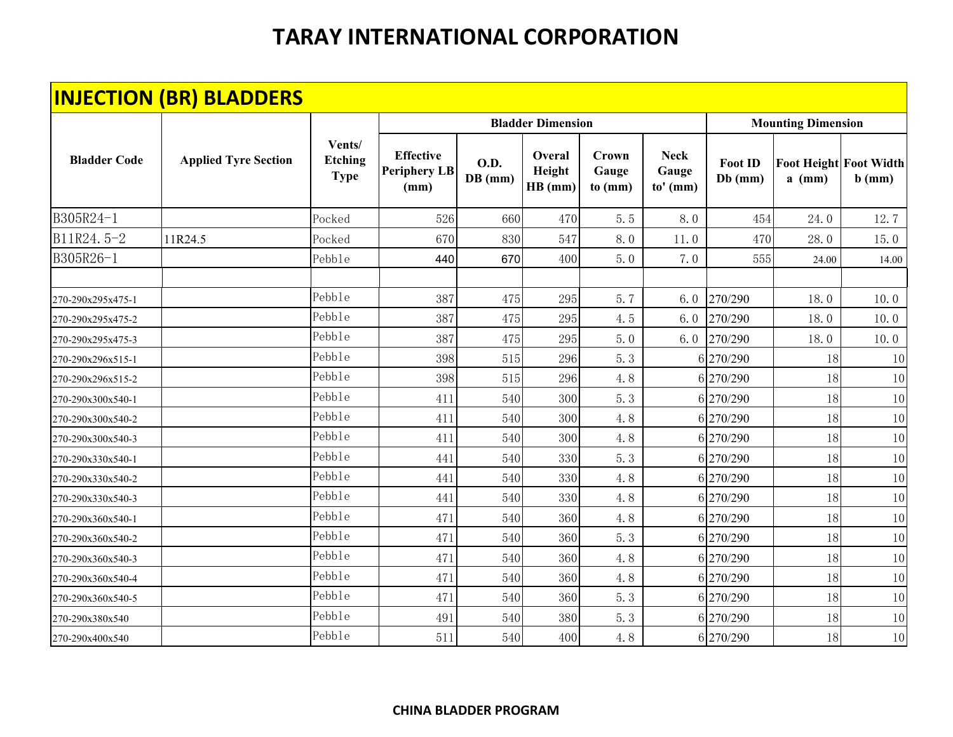|                     | <b>INJECTION (BR) BLADDERS</b> |                                         |                                                 |                        |                             |                                  |                                    |                             |                           |                                           |
|---------------------|--------------------------------|-----------------------------------------|-------------------------------------------------|------------------------|-----------------------------|----------------------------------|------------------------------------|-----------------------------|---------------------------|-------------------------------------------|
|                     |                                |                                         |                                                 |                        | <b>Bladder Dimension</b>    |                                  |                                    |                             | <b>Mounting Dimension</b> |                                           |
| <b>Bladder Code</b> | <b>Applied Tyre Section</b>    | Vents/<br><b>Etching</b><br><b>Type</b> | <b>Effective</b><br><b>Periphery LB</b><br>(mm) | <b>O.D.</b><br>DB (mm) | Overal<br>Height<br>HB (mm) | <b>Crown</b><br>Gauge<br>to (mm) | <b>Neck</b><br>Gauge<br>$to'$ (mm) | <b>Foot ID</b><br>$Db$ (mm) | $a$ (mm)                  | <b>Foot Height Foot Width</b><br>$b$ (mm) |
| B305R24-1           |                                | Pocked                                  | 526                                             | 660                    | 470                         | 5.5                              | 8.0                                | 454                         | 24.0                      | 12.7                                      |
| B11R24.5-2          | 11R24.5                        | Pocked                                  | 670                                             | 830                    | 547                         | 8.0                              | 11.0                               | 470                         | 28.0                      | 15.0                                      |
| B305R26-1           |                                | Pebble                                  | 440                                             | 670                    | 400                         | 5.0                              | 7.0                                | 555                         | 24.00                     | 14.00                                     |
| 270-290x295x475-1   |                                | Pebble                                  | 387                                             | 475                    | 295                         | 5.7                              | 6.0                                | 270/290                     | 18.0                      | 10.0                                      |
| 270-290x295x475-2   |                                | Pebble                                  | 387                                             | 475                    | 295                         | 4.5                              | 6.0                                | 270/290                     | 18.0                      | 10.0                                      |
| 270-290x295x475-3   |                                | Pebble                                  | 387                                             | 475                    | 295                         | 5.0                              | 6.0                                | 270/290                     | 18.0                      | 10.0                                      |
| 270-290x296x515-1   |                                | Pebble                                  | 398                                             | 515                    | 296                         | 5.3                              |                                    | 6 270/290                   | 18                        | 10                                        |
| 270-290x296x515-2   |                                | Pebble                                  | 398                                             | 515                    | 296                         | 4.8                              |                                    | 6 270/290                   | 18                        | 10                                        |
| 270-290x300x540-1   |                                | Pebble                                  | 411                                             | 540                    | 300                         | 5.3                              |                                    | 6 270/290                   | 18                        | 10                                        |
| 270-290x300x540-2   |                                | Pebble                                  | 411                                             | 540                    | 300                         | 4.8                              |                                    | 6 270/290                   | 18                        | 10                                        |
| 270-290x300x540-3   |                                | Pebble                                  | 411                                             | 540                    | 300                         | 4.8                              |                                    | 6 270/290                   | 18                        | 10                                        |
| 270-290x330x540-1   |                                | Pebble                                  | 441                                             | 540                    | 330                         | 5.3                              |                                    | 6 270/290                   | 18                        | 10                                        |
| 270-290x330x540-2   |                                | Pebble                                  | 441                                             | 540                    | 330                         | 4.8                              |                                    | 6 270/290                   | 18                        | 10                                        |
| 270-290x330x540-3   |                                | Pebb1e                                  | 441                                             | 540                    | 330                         | 4.8                              |                                    | 6 270/290                   | 18                        | 10                                        |
| 270-290x360x540-1   |                                | Pebble                                  | 471                                             | 540                    | 360                         | 4.8                              |                                    | 6 270/290                   | 18                        | 10                                        |
| 270-290x360x540-2   |                                | Pebble                                  | 471                                             | 540                    | 360                         | 5.3                              |                                    | 6 270/290                   | 18                        | 10                                        |
| 270-290x360x540-3   |                                | Pebble                                  | 471                                             | 540                    | 360                         | 4.8                              |                                    | 6 270/290                   | 18                        | 10                                        |
| 270-290x360x540-4   |                                | Pebble                                  | 471                                             | 540                    | 360                         | 4.8                              |                                    | 6 270/290                   | 18                        | 10                                        |
| 270-290x360x540-5   |                                | Pebble                                  | 471                                             | 540                    | 360                         | 5.3                              |                                    | 6 270/290                   | 18                        | 10                                        |
| 270-290x380x540     |                                | Pebble                                  | 491                                             | 540                    | 380                         | 5.3                              |                                    | 6 270/290                   | 18                        | 10                                        |
| 270-290x400x540     |                                | Pebble                                  | 511                                             | 540                    | 400                         | 4.8                              |                                    | 6 270/290                   | 18                        | 10                                        |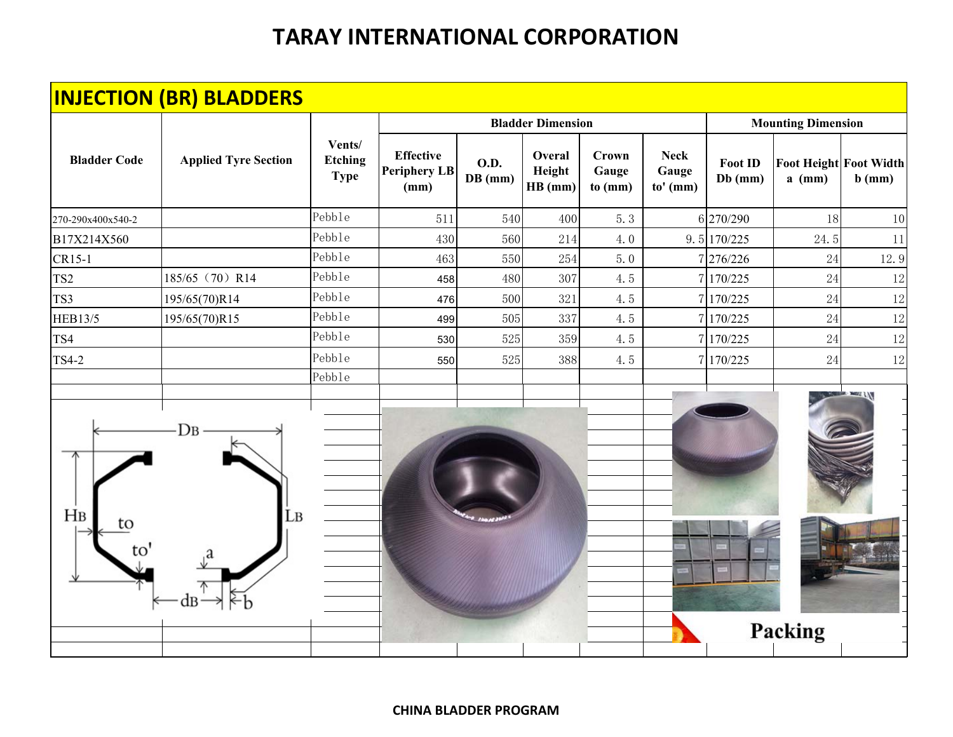|                             | <b>INJECTION (BR) BLADDERS</b> |                                         |                                                 |                          |                             |                                  |                                  |                             |                                           |          |
|-----------------------------|--------------------------------|-----------------------------------------|-------------------------------------------------|--------------------------|-----------------------------|----------------------------------|----------------------------------|-----------------------------|-------------------------------------------|----------|
|                             |                                |                                         |                                                 |                          | <b>Bladder Dimension</b>    |                                  |                                  |                             | <b>Mounting Dimension</b>                 |          |
| <b>Bladder Code</b>         | <b>Applied Tyre Section</b>    | Vents/<br><b>Etching</b><br><b>Type</b> | <b>Effective</b><br><b>Periphery LB</b><br>(mm) | <b>O.D.</b><br>$DB$ (mm) | Overal<br>Height<br>HB (mm) | <b>Crown</b><br>Gauge<br>to (mm) | <b>Neck</b><br>Gauge<br>to' (mm) | <b>Foot ID</b><br>$Db$ (mm) | <b>Foot Height Foot Width</b><br>$a$ (mm) | $b$ (mm) |
| 270-290x400x540-2           |                                | Pebble                                  | 511                                             | 540                      | 400                         | 5.3                              |                                  | 6 270/290                   | 18                                        | 10       |
| B17X214X560                 |                                | Pebble                                  | 430                                             | 560                      | 214                         | 4.0                              |                                  | 9.5 170/225                 | 24.5                                      | 11       |
| CR15-1                      |                                | Pebble                                  | 463                                             | 550                      | 254                         | 5.0                              |                                  | 276/226                     | 24                                        | 12.9     |
| TS <sub>2</sub>             | 185/65 (70) R14                | Pebble                                  | 458                                             | 480                      | 307                         | 4.5                              |                                  | 7 170/225                   | 24                                        | 12       |
| TS3                         | 195/65(70)R14                  | Pebble                                  | 476                                             | 500                      | 321                         | 4.5                              |                                  | 7 170/225                   | 24                                        | 12       |
| <b>HEB13/5</b>              | 195/65(70)R15                  | Pebble                                  | 499                                             | 505                      | 337                         | 4.5                              |                                  | 7 170/225                   | 24                                        | 12       |
| TS4                         |                                | Pebble                                  | 530                                             | 525                      | 359                         | 4.5                              |                                  | 7 170/225                   | 24                                        | 12       |
| <b>TS4-2</b>                |                                | Pebble                                  | 550                                             | 525                      | 388                         | 4.5                              |                                  | 7 170/225                   | 24                                        | 12       |
| H <sub>B</sub><br>to<br>to' | Dв<br>Lв                       |                                         |                                                 |                          |                             |                                  |                                  |                             |                                           |          |
|                             |                                |                                         |                                                 |                          |                             |                                  |                                  |                             | Packing                                   |          |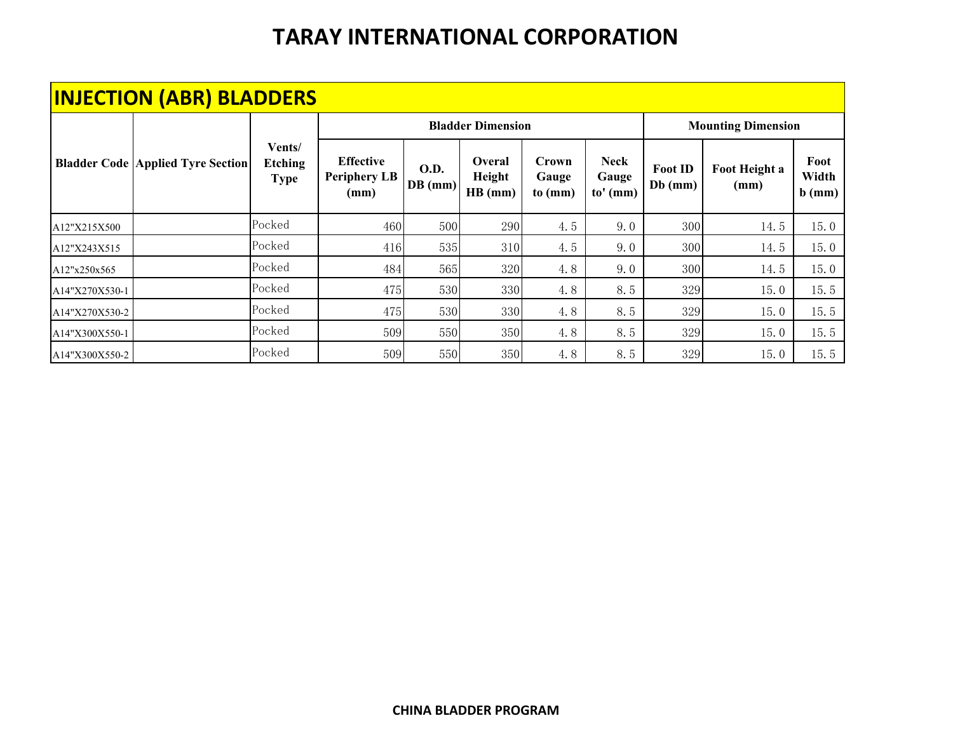|                | <b>INJECTION (ABR) BLADDERS</b>              |                                         |                                                 |                        |                             |                           |                                    |                             |                           |                           |
|----------------|----------------------------------------------|-----------------------------------------|-------------------------------------------------|------------------------|-----------------------------|---------------------------|------------------------------------|-----------------------------|---------------------------|---------------------------|
|                |                                              |                                         |                                                 |                        | <b>Bladder Dimension</b>    |                           |                                    |                             | <b>Mounting Dimension</b> |                           |
|                | <b>Bladder Code   Applied Tyre Section  </b> | Vents/<br><b>Etching</b><br><b>Type</b> | <b>Effective</b><br><b>Periphery LB</b><br>(mm) | <b>O.D.</b><br>DB (mm) | Overal<br>Height<br>HB (mm) | Crown<br>Gauge<br>to (mm) | <b>Neck</b><br>Gauge<br>$to'$ (mm) | <b>Foot ID</b><br>$Db$ (mm) | Foot Height a<br>(mm)     | Foot<br>Width<br>$b$ (mm) |
| A12"X215X500   |                                              | Pocked                                  | 460                                             | 500                    | 290                         | 4.5                       | 9.0                                | 300                         | 14.5                      | 15.0                      |
| A12"X243X515   |                                              | Pocked                                  | 416                                             | 535                    | 310                         | 4.5                       | 9.0                                | 300                         | 14.5                      | 15.0                      |
| A12"x250x565   |                                              | Pocked                                  | 484                                             | 565                    | 320                         | 4.8                       | 9.0                                | 300                         | 14.5                      | 15.0                      |
| A14"X270X530-1 |                                              | Pocked                                  | 475                                             | 530                    | 330                         | 4.8                       | 8.5                                | 329                         | 15.0                      | 15.5                      |
| A14"X270X530-2 |                                              | Pocked                                  | 475                                             | 530                    | 330                         | 4.8                       | 8.5                                | 329                         | 15.0                      | 15.5                      |
| A14"X300X550-1 |                                              | Pocked                                  | 509                                             | 550                    | 350                         | 4.8                       | 8.5                                | 329                         | 15.0                      | 15.5                      |
| A14"X300X550-2 |                                              | Pocked                                  | 509                                             | 550                    | 350                         | 4.8                       | 8.5                                | 329                         | 15.0                      | 15.5                      |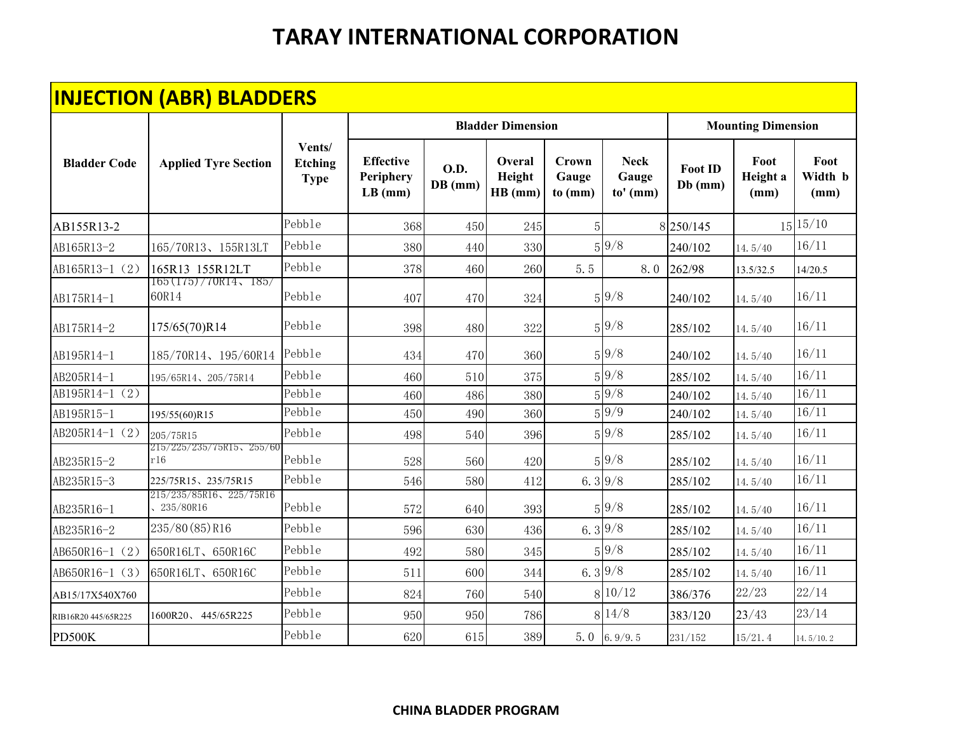|                     | <b>INJECTION (ABR) BLADDERS</b>      |                                         |                                            |                          |                             |                           |                                    |                             |                           |                         |
|---------------------|--------------------------------------|-----------------------------------------|--------------------------------------------|--------------------------|-----------------------------|---------------------------|------------------------------------|-----------------------------|---------------------------|-------------------------|
|                     |                                      |                                         |                                            |                          | <b>Bladder Dimension</b>    |                           |                                    |                             | <b>Mounting Dimension</b> |                         |
| <b>Bladder Code</b> | <b>Applied Tyre Section</b>          | Vents/<br><b>Etching</b><br><b>Type</b> | <b>Effective</b><br>Periphery<br>$LB$ (mm) | <b>O.D.</b><br>$DB$ (mm) | Overal<br>Height<br>HB (mm) | Crown<br>Gauge<br>to (mm) | <b>Neck</b><br>Gauge<br>$to'$ (mm) | <b>Foot ID</b><br>$Db$ (mm) | Foot<br>Height a<br>(mm)  | Foot<br>Width b<br>(mm) |
| AB155R13-2          |                                      | Pebble                                  | 368                                        | 450                      | 245                         | $\overline{5}$            |                                    | 8 250/145                   |                           | 15 15/10                |
| AB165R13-2          | 165/70R13、155R13LT                   | Pebble                                  | 380                                        | 440                      | 330                         |                           | $5\sqrt{9/8}$                      | 240/102                     | 14.5/40                   | 16/11                   |
| AB165R13-1 (2)      | 165R13 155R12LT                      | Pebble                                  | 378                                        | 460                      | 260                         | 5.5                       | 8.0                                | 262/98                      | 13.5/32.5                 | 14/20.5                 |
| AB175R14-1          | $165(175)/70R14$ , 185/<br>60R14     | Pebble                                  | 407                                        | 470                      | 324                         |                           | $5\sqrt{9}/8$                      | 240/102                     | 14.5/40                   | 16/11                   |
| AB175R14-2          | 175/65(70)R14                        | Pebble                                  | 398                                        | 480                      | 322                         |                           | $5\overline{9}/8$                  | 285/102                     | 14.5/40                   | 16/11                   |
| AB195R14-1          | 185/70R14、195/60R14                  | Pebble                                  | 434                                        | 470                      | 360                         |                           | $5\overline{9}/8$                  | 240/102                     | 14.5/40                   | 16/11                   |
| AB205R14-1          | 195/65R14、205/75R14                  | Pebble                                  | 460                                        | 510                      | 375                         |                           | 5 9/8                              | 285/102                     | 14.5/40                   | 16/11                   |
| AB195R14-1 (2)      |                                      | Pebble                                  | 460                                        | 486                      | 380                         |                           | $5\overline{9}/8$                  | 240/102                     | 14.5/40                   | 16/11                   |
| AB195R15-1          | 195/55(60)R15                        | Pebble                                  | 450                                        | 490                      | 360                         |                           | $5\sqrt{9/9}$                      | 240/102                     | 14.5/40                   | 16/11                   |
| AB205R14-1 (2)      | 205/75R15                            | Pebble                                  | 498                                        | 540                      | 396                         |                           | $5\overline{9}/8$                  | 285/102                     | 14.5/40                   | 16/11                   |
| AB235R15-2          | 215/225/235/75R15、255/60<br>r16      | Pebble                                  | 528                                        | 560                      | 420                         |                           | 5 9/8                              | 285/102                     | 14.5/40                   | 16/11                   |
| AB235R15-3          | 225/75R15、235/75R15                  | Pebble                                  | 546                                        | 580                      | 412                         | 6.3 $9/8$                 |                                    | 285/102                     | 14.5/40                   | 16/11                   |
| AB235R16-1          | 215/235/85R16、225/75R16<br>235/80R16 | Pebble                                  | 572                                        | 640                      | 393                         |                           | $5\overline{9}/8$                  | 285/102                     | 14.5/40                   | 16/11                   |
| AB235R16-2          | 235/80(85)R16                        | Pebble                                  | 596                                        | 630                      | 436                         | 6.39/8                    |                                    | 285/102                     | 14.5/40                   | 16/11                   |
| AB650R16-1 (2)      | 650R16LT、650R16C                     | Pebble                                  | 492                                        | 580                      | 345                         |                           | $5\overline{9}/8$                  | 285/102                     | 14.5/40                   | 16/11                   |
| AB650R16-1 (3)      | 650R16LT、650R16C                     | Pebble                                  | 511                                        | 600                      | 344                         | 6.39/8                    |                                    | 285/102                     | 14.5/40                   | 16/11                   |
| AB15/17X540X760     |                                      | Pebble                                  | 824                                        | 760                      | 540                         |                           | 8 10/12                            | 386/376                     | 22/23                     | 22/14                   |
| RIB16R20 445/65R225 | 1600R20、445/65R225                   | Pebble                                  | 950                                        | 950                      | 786                         |                           | 8 14/8                             | 383/120                     | 23/43                     | 23/14                   |
| PD500K              |                                      | Pebble                                  | 620                                        | 615                      | 389                         | 5.0                       | 6.9/9.5                            | 231/152                     | 15/21.4                   | 14.5/10.2               |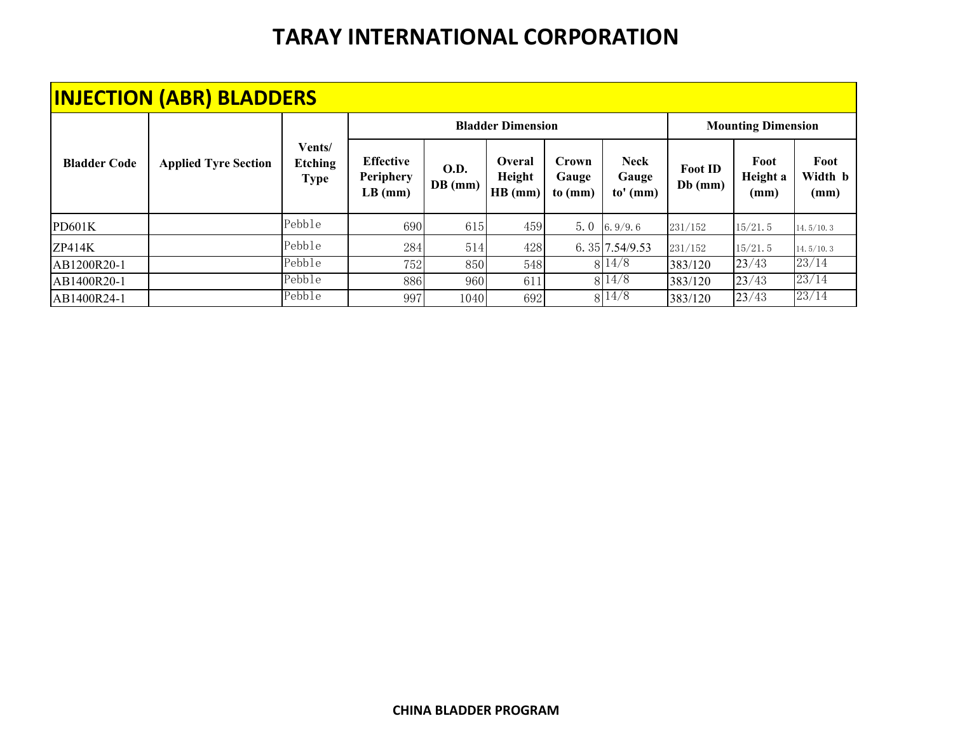|                     | <b>INJECTION (ABR) BLADDERS</b> |                                         |                                            |                          |                                    |                           |                                    |                             |                           |                                |
|---------------------|---------------------------------|-----------------------------------------|--------------------------------------------|--------------------------|------------------------------------|---------------------------|------------------------------------|-----------------------------|---------------------------|--------------------------------|
|                     |                                 |                                         |                                            |                          | <b>Bladder Dimension</b>           |                           |                                    |                             | <b>Mounting Dimension</b> |                                |
| <b>Bladder Code</b> | <b>Applied Tyre Section</b>     | Vents/<br><b>Etching</b><br><b>Type</b> | <b>Effective</b><br>Periphery<br>$LB$ (mm) | <b>O.D.</b><br>$DB$ (mm) | <b>Overal</b><br>Height<br>HB (mm) | Crown<br>Gauge<br>to (mm) | <b>Neck</b><br>Gauge<br>$to'$ (mm) | <b>Foot ID</b><br>$Db$ (mm) | Foot<br>Height a<br>(mm)  | Foot<br>Width <b>b</b><br>(mm) |
| PD601K              |                                 | Pebble                                  | 690                                        | 615                      | 459                                | 5.0                       | 6.9/9.6                            | 231/152                     | 15/21.5                   | 14.5/10.3                      |
| ZP414K              |                                 | Pebble                                  | 284                                        | 514                      | 428                                |                           | 6. 35 7.54/9.53                    | 231/152                     | 15/21.5                   | 14.5/10.3                      |
| AB1200R20-1         |                                 | Pebble                                  | 752                                        | 850                      | 548                                |                           | 8 14/8                             | 383/120                     | 23/43                     | 23/14                          |
| AB1400R20-1         |                                 | Pebble                                  | 886                                        | 960                      | 611                                |                           | 8 14/8                             | 383/120                     | 23/43                     | 23/14                          |
| AB1400R24-1         |                                 | Pebble                                  | 997                                        | 1040                     | 692                                |                           | 8 14/8                             | 383/120                     | 23/43                     | 23/14                          |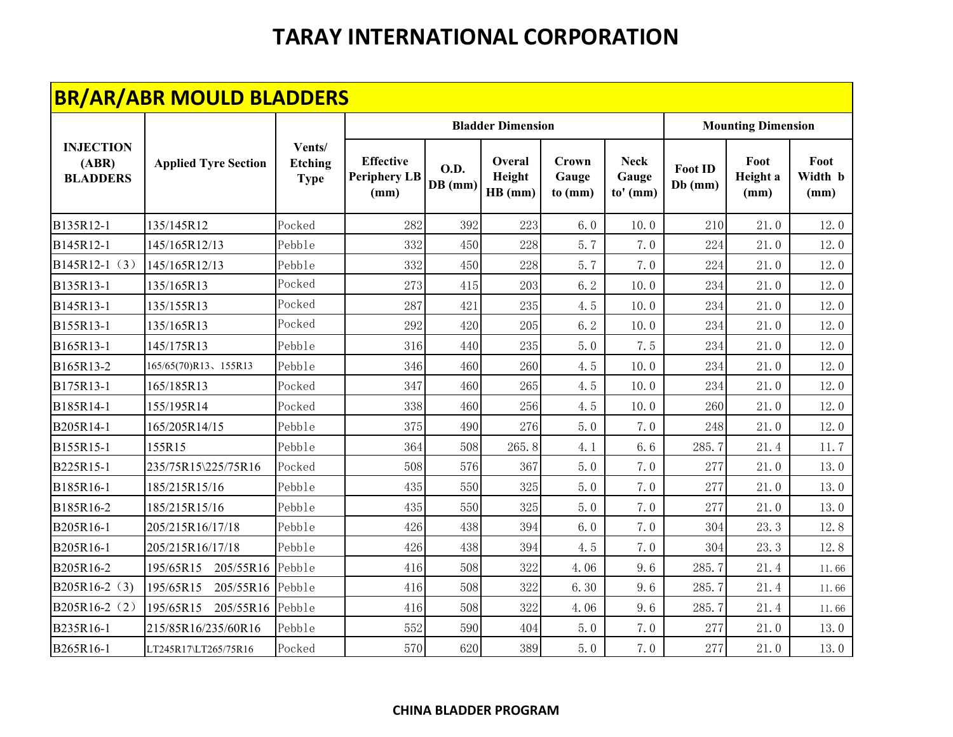|                                              | <b>BR/AR/ABR MOULD BLADDERS</b> |                                         |                                                 |                          |                             |                           |                                    |                             |                           |                         |
|----------------------------------------------|---------------------------------|-----------------------------------------|-------------------------------------------------|--------------------------|-----------------------------|---------------------------|------------------------------------|-----------------------------|---------------------------|-------------------------|
|                                              |                                 |                                         |                                                 |                          | <b>Bladder Dimension</b>    |                           |                                    |                             | <b>Mounting Dimension</b> |                         |
| <b>INJECTION</b><br>(ABR)<br><b>BLADDERS</b> | <b>Applied Tyre Section</b>     | Vents/<br><b>Etching</b><br><b>Type</b> | <b>Effective</b><br><b>Periphery LB</b><br>(mm) | <b>O.D.</b><br>$DB$ (mm) | Overal<br>Height<br>HB (mm) | Crown<br>Gauge<br>to (mm) | <b>Neck</b><br>Gauge<br>$to'$ (mm) | <b>Foot ID</b><br>$Db$ (mm) | Foot<br>Height a<br>(mm)  | Foot<br>Width b<br>(mm) |
| B135R12-1                                    | 135/145R12                      | Pocked                                  | 282                                             | 392                      | 223                         | 6.0                       | 10.0                               | 210                         | 21.0                      | 12.0                    |
| B145R12-1                                    | 145/165R12/13                   | Pebble                                  | 332                                             | 450                      | 228                         | 5.7                       | 7.0                                | 224                         | 21.0                      | 12.0                    |
| B145R12-1 (3)                                | 145/165R12/13                   | Pebble                                  | 332                                             | 450                      | 228                         | 5.7                       | 7.0                                | 224                         | 21.0                      | 12.0                    |
| B135R13-1                                    | 135/165R13                      | Pocked                                  | 273                                             | 415                      | 203                         | 6.2                       | 10.0                               | 234                         | 21.0                      | 12.0                    |
| B145R13-1                                    | 135/155R13                      | Pocked                                  | 287                                             | 421                      | 235                         | 4.5                       | 10.0                               | 234                         | 21.0                      | 12.0                    |
| B155R13-1                                    | 135/165R13                      | Pocked                                  | 292                                             | 420                      | 205                         | 6.2                       | 10.0                               | 234                         | 21.0                      | 12.0                    |
| B165R13-1                                    | 145/175R13                      | Pebble                                  | 316                                             | 440                      | 235                         | 5.0                       | 7.5                                | 234                         | 21.0                      | 12.0                    |
| B165R13-2                                    | 165/65(70)R13、155R13            | Pebble                                  | 346                                             | 460                      | 260                         | 4.5                       | 10.0                               | 234                         | 21.0                      | 12.0                    |
| B175R13-1                                    | 165/185R13                      | Pocked                                  | 347                                             | 460                      | 265                         | 4.5                       | 10.0                               | 234                         | 21.0                      | 12.0                    |
| B185R14-1                                    | 155/195R14                      | Pocked                                  | 338                                             | 460                      | 256                         | 4.5                       | 10.0                               | 260                         | 21.0                      | 12.0                    |
| B205R14-1                                    | 165/205R14/15                   | Pebble                                  | 375                                             | 490                      | 276                         | 5.0                       | 7.0                                | 248                         | 21.0                      | 12.0                    |
| B155R15-1                                    | 155R15                          | Pebble                                  | 364                                             | 508                      | 265.8                       | 4.1                       | 6.6                                | 285.7                       | 21.4                      | 11.7                    |
| B225R15-1                                    | 235/75R15\225/75R16             | Pocked                                  | 508                                             | 576                      | 367                         | 5.0                       | 7.0                                | 277                         | 21.0                      | 13.0                    |
| B185R16-1                                    | 185/215R15/16                   | Pebble                                  | 435                                             | 550                      | 325                         | 5.0                       | 7.0                                | 277                         | 21.0                      | 13.0                    |
| B185R16-2                                    | 185/215R15/16                   | Pebble                                  | 435                                             | 550                      | 325                         | 5.0                       | 7.0                                | 277                         | 21.0                      | 13.0                    |
| B205R16-1                                    | 205/215R16/17/18                | Pebble                                  | 426                                             | 438                      | 394                         | 6.0                       | 7.0                                | 304                         | 23.3                      | 12.8                    |
| B205R16-1                                    | 205/215R16/17/18                | Pebble                                  | 426                                             | 438                      | 394                         | 4.5                       | 7.0                                | 304                         | 23.3                      | 12.8                    |
| B205R16-2                                    | 195/65R15<br>205/55R16          | Pebb1e                                  | 416                                             | 508                      | 322                         | 4.06                      | 9.6                                | 285.7                       | 21.4                      | 11.66                   |
| B205R16-2 (3)                                | 195/65R15<br>205/55R16          | Pebble                                  | 416                                             | 508                      | 322                         | 6.30                      | 9.6                                | 285.7                       | 21.4                      | 11.66                   |
| B205R16-2 (2)                                | 195/65R15<br>205/55R16          | Pebble                                  | 416                                             | 508                      | 322                         | 4.06                      | 9.6                                | 285.7                       | 21.4                      | 11.66                   |
| B235R16-1                                    | 215/85R16/235/60R16             | Pebble                                  | 552                                             | 590                      | 404                         | 5.0                       | 7.0                                | 277                         | 21.0                      | 13.0                    |
| B265R16-1                                    | LT245R17\LT265/75R16            | Pocked                                  | 570                                             | 620                      | 389                         | 5.0                       | 7.0                                | 277                         | 21.0                      | 13.0                    |

#### **CHINA BLADDER PROGRAM**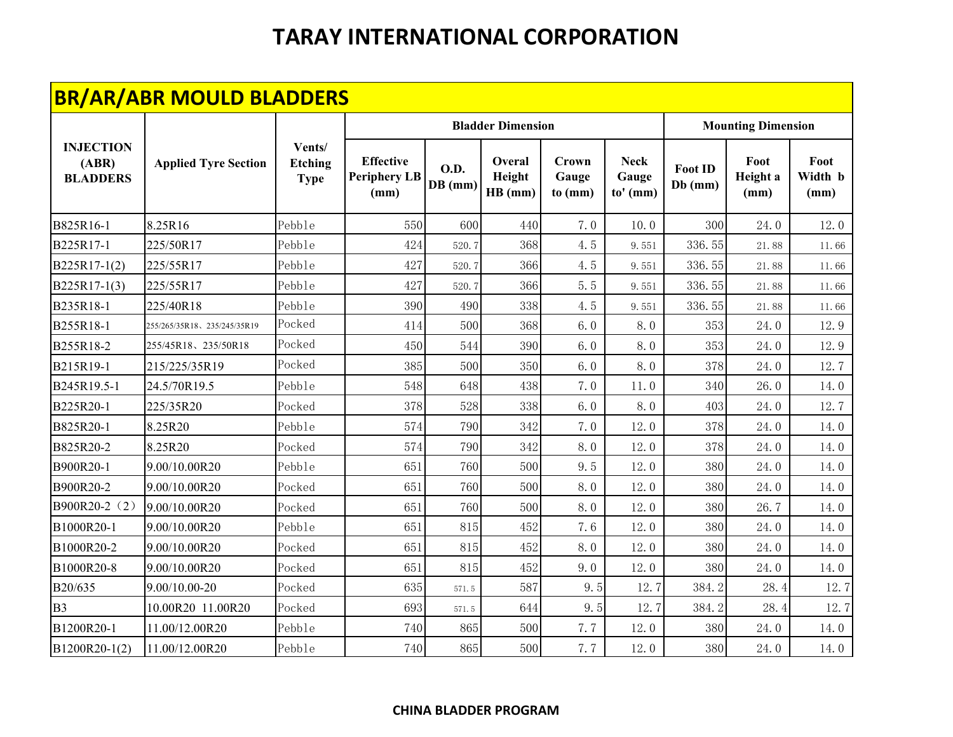|                                              | <b>BR/AR/ABR MOULD BLADDERS</b> |                                         |                                                 |                          |                             |                           |                                    |                             |                           |                         |
|----------------------------------------------|---------------------------------|-----------------------------------------|-------------------------------------------------|--------------------------|-----------------------------|---------------------------|------------------------------------|-----------------------------|---------------------------|-------------------------|
|                                              |                                 |                                         |                                                 |                          | <b>Bladder Dimension</b>    |                           |                                    |                             | <b>Mounting Dimension</b> |                         |
| <b>INJECTION</b><br>(ABR)<br><b>BLADDERS</b> | <b>Applied Tyre Section</b>     | Vents/<br><b>Etching</b><br><b>Type</b> | <b>Effective</b><br><b>Periphery LB</b><br>(mm) | <b>O.D.</b><br>$DB$ (mm) | Overal<br>Height<br>HB (mm) | Crown<br>Gauge<br>to (mm) | <b>Neck</b><br>Gauge<br>$to'$ (mm) | <b>Foot ID</b><br>$Db$ (mm) | Foot<br>Height a<br>(mm)  | Foot<br>Width b<br>(mm) |
| B825R16-1                                    | 8.25R16                         | Pebble                                  | 550                                             | 600                      | 440                         | 7.0                       | 10.0                               | 300                         | 24.0                      | 12.0                    |
| B225R17-1                                    | 225/50R17                       | Pebble                                  | 424                                             | 520.7                    | 368                         | 4.5                       | 9.551                              | 336.55                      | 21.88                     | 11.66                   |
| B225R17-1(2)                                 | 225/55R17                       | Pebble                                  | 427                                             | 520.7                    | 366                         | 4.5                       | 9.551                              | 336.55                      | 21.88                     | 11.66                   |
| B225R17-1(3)                                 | 225/55R17                       | Pebble                                  | 427                                             | 520.7                    | 366                         | 5.5                       | 9.551                              | 336.55                      | 21.88                     | 11.66                   |
| B235R18-1                                    | 225/40R18                       | Pebble                                  | 390                                             | 490                      | 338                         | 4.5                       | 9.551                              | 336.55                      | 21.88                     | 11.66                   |
| B255R18-1                                    | 255/265/35R18、235/245/35R19     | Pocked                                  | 414                                             | 500                      | 368                         | 6.0                       | 8.0                                | 353                         | 24.0                      | 12.9                    |
| B255R18-2                                    | 255/45R18、235/50R18             | Pocked                                  | 450                                             | 544                      | 390                         | 6.0                       | 8.0                                | 353                         | 24.0                      | 12.9                    |
| B215R19-1                                    | 215/225/35R19                   | Pocked                                  | 385                                             | 500                      | 350                         | 6.0                       | 8.0                                | 378                         | 24.0                      | 12.7                    |
| B245R19.5-1                                  | 24.5/70R19.5                    | Pebble                                  | 548                                             | 648                      | 438                         | 7.0                       | 11.0                               | 340                         | 26.0                      | 14.0                    |
| B225R20-1                                    | 225/35R20                       | Pocked                                  | 378                                             | 528                      | 338                         | 6.0                       | 8.0                                | 403                         | 24.0                      | 12.7                    |
| B825R20-1                                    | 8.25R20                         | Pebble                                  | 574                                             | 790                      | 342                         | 7.0                       | 12.0                               | 378                         | 24.0                      | 14.0                    |
| B825R20-2                                    | 8.25R20                         | Pocked                                  | 574                                             | 790                      | 342                         | 8.0                       | 12.0                               | 378                         | 24.0                      | 14.0                    |
| B900R20-1                                    | 9.00/10.00R20                   | Pebble                                  | 651                                             | 760                      | 500                         | 9.5                       | 12.0                               | 380                         | 24.0                      | 14.0                    |
| B900R20-2                                    | 9.00/10.00R20                   | Pocked                                  | 651                                             | 760                      | 500                         | 8.0                       | 12.0                               | 380                         | 24.0                      | 14.0                    |
| B900R20-2 (2)                                | 9.00/10.00R20                   | Pocked                                  | 651                                             | 760                      | 500                         | 8.0                       | 12.0                               | 380                         | 26.7                      | 14.0                    |
| B1000R20-1                                   | 9.00/10.00R20                   | Pebble                                  | 651                                             | 815                      | 452                         | 7.6                       | 12.0                               | 380                         | 24.0                      | 14.0                    |
| B1000R20-2                                   | 9.00/10.00R20                   | Pocked                                  | 651                                             | 815                      | 452                         | 8.0                       | 12.0                               | 380                         | 24.0                      | 14.0                    |
| B1000R20-8                                   | 9.00/10.00R20                   | Pocked                                  | 651                                             | 815                      | 452                         | 9.0                       | 12.0                               | 380                         | 24.0                      | 14.0                    |
| B20/635                                      | 9.00/10.00-20                   | Pocked                                  | 635                                             | 571.5                    | 587                         | 9.5                       | 12.7                               | 384.2                       | 28.4                      | 12.7                    |
| B <sub>3</sub>                               | 10.00R20 11.00R20               | Pocked                                  | 693                                             | $571.\,5$                | 644                         | 9.5                       | 12.7                               | 384.2                       | 28.4                      | 12.7                    |
| B1200R20-1                                   | 11.00/12.00R20                  | Pebble                                  | 740                                             | 865                      | 500                         | 7.7                       | 12.0                               | 380                         | 24.0                      | 14.0                    |
| B1200R20-1(2)                                | 11.00/12.00R20                  | Pebble                                  | 740                                             | 865                      | 500                         | 7.7                       | 12.0                               | 380                         | 24.0                      | 14.0                    |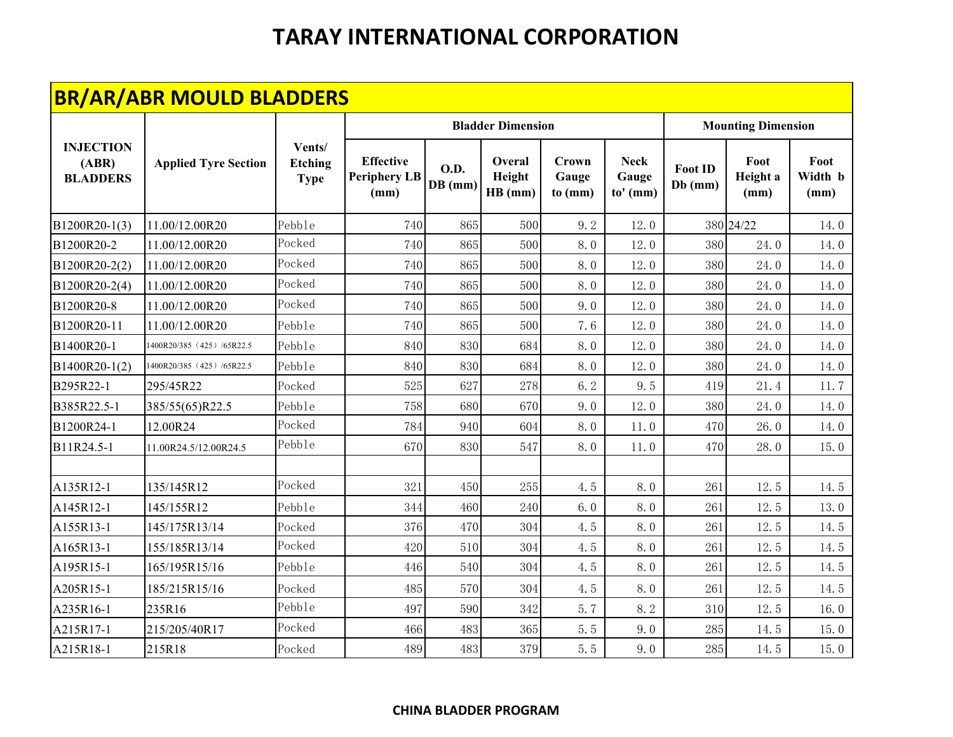|                                              | <b>BR/AR/ABR MOULD BLADDERS</b> |                                         |                                                 |                          |                             |                           |                                    |                             |                           |                         |
|----------------------------------------------|---------------------------------|-----------------------------------------|-------------------------------------------------|--------------------------|-----------------------------|---------------------------|------------------------------------|-----------------------------|---------------------------|-------------------------|
|                                              |                                 |                                         |                                                 |                          | <b>Bladder Dimension</b>    |                           |                                    |                             | <b>Mounting Dimension</b> |                         |
| <b>INJECTION</b><br>(ABR)<br><b>BLADDERS</b> | <b>Applied Tyre Section</b>     | Vents/<br><b>Etching</b><br><b>Type</b> | <b>Effective</b><br><b>Periphery LB</b><br>(mm) | <b>O.D.</b><br>$DB$ (mm) | Overal<br>Height<br>HB (mm) | Crown<br>Gauge<br>to (mm) | <b>Neck</b><br>Gauge<br>$to'$ (mm) | <b>Foot ID</b><br>$Db$ (mm) | Foot<br>Height a<br>(mm)  | Foot<br>Width b<br>(mm) |
| B1200R20-1(3)                                | 11.00/12.00R20                  | Pebble                                  | 740                                             | 865                      | 500                         | 9.2                       | 12.0                               |                             | 380 24/22                 | 14.0                    |
| B1200R20-2                                   | 11.00/12.00R20                  | Pocked                                  | 740                                             | 865                      | 500                         | 8.0                       | 12.0                               | 380                         | 24.0                      | 14.0                    |
| B1200R20-2(2)                                | 11.00/12.00R20                  | Pocked                                  | 740                                             | 865                      | 500                         | 8.0                       | 12.0                               | 380                         | 24.0                      | 14.0                    |
| B1200R20-2(4)                                | 11.00/12.00R20                  | Pocked                                  | 740                                             | 865                      | 500                         | 8.0                       | 12.0                               | 380                         | 24.0                      | 14.0                    |
| B1200R20-8                                   | 11.00/12.00R20                  | Pocked                                  | 740                                             | 865                      | 500                         | 9.0                       | 12.0                               | 380                         | 24.0                      | 14.0                    |
| B1200R20-11                                  | 11.00/12.00R20                  | Pebble                                  | 740                                             | 865                      | 500                         | 7.6                       | 12.0                               | 380                         | 24.0                      | 14.0                    |
| B1400R20-1                                   | 1400R20/385 (425) /65R22.5      | Pebble                                  | 840                                             | 830                      | 684                         | 8.0                       | 12.0                               | 380                         | 24.0                      | 14.0                    |
| B1400R20-1(2)                                | 1400R20/385 (425) /65R22.5      | Pebble                                  | 840                                             | 830                      | 684                         | 8.0                       | 12.0                               | 380                         | 24.0                      | 14.0                    |
| B295R22-1                                    | 295/45R22                       | Pocked                                  | 525                                             | 627                      | 278                         | 6.2                       | 9.5                                | 419                         | 21.4                      | 11.7                    |
| B385R22.5-1                                  | 385/55(65)R22.5                 | Pebble                                  | 758                                             | 680                      | 670                         | 9.0                       | 12.0                               | 380                         | 24.0                      | 14.0                    |
| B1200R24-1                                   | 12.00R24                        | Pocked                                  | 784                                             | 940                      | 604                         | 8.0                       | 11.0                               | 470                         | 26.0                      | 14.0                    |
| B11R24.5-1                                   | 11.00R24.5/12.00R24.5           | Pebble                                  | 670                                             | 830                      | 547                         | 8.0                       | 11.0                               | 470                         | 28.0                      | 15.0                    |
| A135R12-1                                    | 135/145R12                      | Pocked                                  | 321                                             | 450                      | 255                         | 4.5                       | 8.0                                | 261                         | 12.5                      | 14.5                    |
| A145R12-1                                    | 145/155R12                      | Pebble                                  | 344                                             | 460                      | 240                         | 6.0                       | 8.0                                | 261                         | 12.5                      | 13.0                    |
| A155R13-1                                    | 145/175R13/14                   | Pocked                                  | 376                                             | 470                      | 304                         | 4.5                       | 8.0                                | 261                         | 12.5                      | 14.5                    |
| A165R13-1                                    | 155/185R13/14                   | Pocked                                  | 420                                             | 510                      | 304                         | 4.5                       | 8.0                                | 261                         | 12.5                      | 14.5                    |
| A195R15-1                                    | 165/195R15/16                   | Pebble                                  | 446                                             | 540                      | 304                         | 4.5                       | 8.0                                | 261                         | 12.5                      | 14.5                    |
| A205R15-1                                    | 185/215R15/16                   | Pocked                                  | 485                                             | 570                      | 304                         | 4.5                       | 8.0                                | 261                         | 12.5                      | 14.5                    |
| A235R16-1                                    | 235R16                          | Pebble                                  | 497                                             | 590                      | 342                         | 5.7                       | 8.2                                | 310                         | 12.5                      | 16.0                    |
| A215R17-1                                    | 215/205/40R17                   | Pocked                                  | 466                                             | 483                      | 365                         | 5.5                       | 9.0                                | 285                         | 14.5                      | 15.0                    |
| A215R18-1                                    | 215R18                          | Pocked                                  | 489                                             | 483                      | 379                         | 5.5                       | 9.0                                | 285                         | 14.5                      | 15.0                    |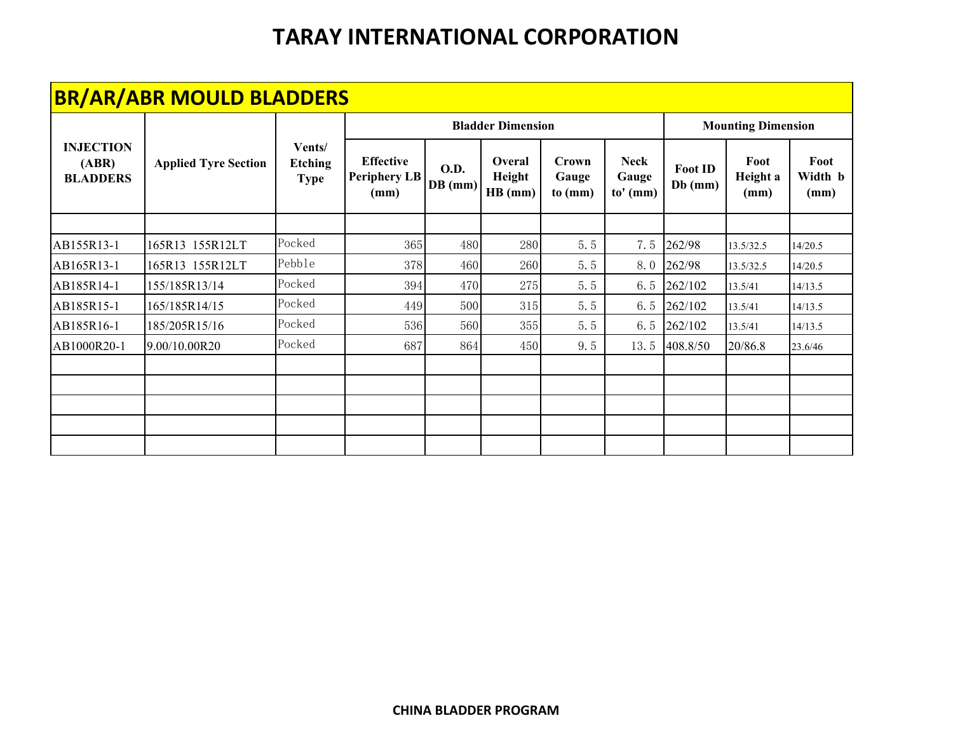|                                              | <b>BR/AR/ABR MOULD BLADDERS</b> |                                         |                                                 |                          |                             |                           |                                    |                             |                           |                         |
|----------------------------------------------|---------------------------------|-----------------------------------------|-------------------------------------------------|--------------------------|-----------------------------|---------------------------|------------------------------------|-----------------------------|---------------------------|-------------------------|
|                                              |                                 |                                         |                                                 |                          | <b>Bladder Dimension</b>    |                           |                                    |                             | <b>Mounting Dimension</b> |                         |
| <b>INJECTION</b><br>(ABR)<br><b>BLADDERS</b> | <b>Applied Tyre Section</b>     | Vents/<br><b>Etching</b><br><b>Type</b> | <b>Effective</b><br><b>Periphery LB</b><br>(mm) | <b>O.D.</b><br>$DB$ (mm) | Overal<br>Height<br>HB (mm) | Crown<br>Gauge<br>to (mm) | <b>Neck</b><br>Gauge<br>$to'$ (mm) | <b>Foot ID</b><br>$Db$ (mm) | Foot<br>Height a<br>(mm)  | Foot<br>Width b<br>(mm) |
|                                              |                                 |                                         |                                                 |                          |                             |                           |                                    |                             |                           |                         |
| AB155R13-1                                   | 165R13 155R12LT                 | Pocked                                  | 365                                             | 480                      | 280                         | 5.5                       | 7.5                                | 262/98                      | 13.5/32.5                 | 14/20.5                 |
| AB165R13-1                                   | 165R13 155R12LT                 | Pebble                                  | 378                                             | 460                      | 260                         | 5.5                       | 8.0                                | 262/98                      | 13.5/32.5                 | 14/20.5                 |
| AB185R14-1                                   | 155/185R13/14                   | Pocked                                  | 394                                             | 470                      | 275                         | 5.5                       | 6.5                                | 262/102                     | 13.5/41                   | 14/13.5                 |
| AB185R15-1                                   | 165/185R14/15                   | Pocked                                  | 449                                             | 500                      | 315                         | 5.5                       | 6.5                                | 262/102                     | 13.5/41                   | 14/13.5                 |
| AB185R16-1                                   | 185/205R15/16                   | Pocked                                  | 536                                             | 560                      | 355                         | 5.5                       | 6.5                                | 262/102                     | 13.5/41                   | 14/13.5                 |
| AB1000R20-1                                  | 9.00/10.00R20                   | Pocked                                  | 687                                             | 864                      | 450                         | 9.5                       | 13.5                               | 408.8/50                    | 20/86.8                   | 23.6/46                 |
|                                              |                                 |                                         |                                                 |                          |                             |                           |                                    |                             |                           |                         |
|                                              |                                 |                                         |                                                 |                          |                             |                           |                                    |                             |                           |                         |
|                                              |                                 |                                         |                                                 |                          |                             |                           |                                    |                             |                           |                         |
|                                              |                                 |                                         |                                                 |                          |                             |                           |                                    |                             |                           |                         |
|                                              |                                 |                                         |                                                 |                          |                             |                           |                                    |                             |                           |                         |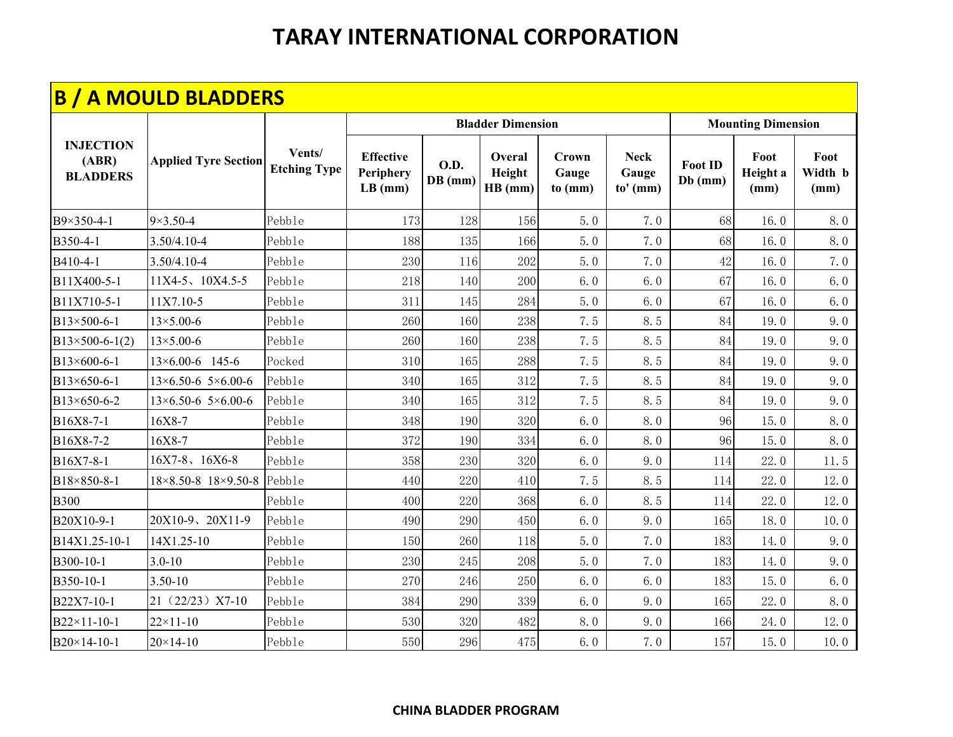|                                              | <b>B / A MOULD BLADDERS</b>       |                               |                                            |                          |                             |                           |                                    |                           |                           |                         |
|----------------------------------------------|-----------------------------------|-------------------------------|--------------------------------------------|--------------------------|-----------------------------|---------------------------|------------------------------------|---------------------------|---------------------------|-------------------------|
|                                              |                                   |                               |                                            |                          | <b>Bladder Dimension</b>    |                           |                                    |                           | <b>Mounting Dimension</b> |                         |
| <b>INJECTION</b><br>(ABR)<br><b>BLADDERS</b> | <b>Applied Tyre Section</b>       | Vents/<br><b>Etching Type</b> | <b>Effective</b><br>Periphery<br>$LB$ (mm) | <b>O.D.</b><br>$DB$ (mm) | Overal<br>Height<br>HB (mm) | Crown<br>Gauge<br>to (mm) | <b>Neck</b><br>Gauge<br>$to'$ (mm) | <b>Foot ID</b><br>Db (mm) | Foot<br>Height a<br>(mm)  | Foot<br>Width b<br>(mm) |
| B9×350-4-1                                   | $9 \times 3.50 - 4$               | Pebble                        | 173                                        | 128                      | 156                         | 5.0                       | 7.0                                | 68                        | 16.0                      | 8.0                     |
| B350-4-1                                     | 3.50/4.10-4                       | Pebble                        | 188                                        | 135                      | 166                         | 5.0                       | 7.0                                | 68                        | 16.0                      | 8.0                     |
| B410-4-1                                     | 3.50/4.10-4                       | Pebble                        | 230                                        | 116                      | 202                         | 5.0                       | 7.0                                | 42                        | 16.0                      | 7.0                     |
| B11X400-5-1                                  | 11X4-5、10X4.5-5                   | Pebble                        | 218                                        | 140                      | 200                         | 6.0                       | 6.0                                | 67                        | 16.0                      | 6.0                     |
| B11X710-5-1                                  | 11X7.10-5                         | Pebble                        | 311                                        | 145                      | 284                         | 5.0                       | 6.0                                | 67                        | 16.0                      | 6.0                     |
| B13×500-6-1                                  | $13 \times 5.00 - 6$              | Pebble                        | 260                                        | 160                      | 238                         | 7.5                       | 8.5                                | 84                        | 19.0                      | 9.0                     |
| $B13\times 500 - 6 - 1(2)$                   | $13 \times 5.00 - 6$              | Pebble                        | 260                                        | 160                      | 238                         | 7.5                       | 8.5                                | 84                        | 19.0                      | 9.0                     |
| B13×600-6-1                                  | 13×6.00-6 145-6                   | Pocked                        | 310                                        | 165                      | 288                         | 7.5                       | 8.5                                | 84                        | 19.0                      | 9.0                     |
| B13×650-6-1                                  | $13\times6.50-6$ 5×6.00-6         | Pebble                        | 340                                        | 165                      | 312                         | 7.5                       | 8.5                                | 84                        | 19.0                      | 9.0                     |
| B13×650-6-2                                  | $13\times6.50-6$ 5 $\times6.00-6$ | Pebble                        | 340                                        | 165                      | 312                         | 7.5                       | 8.5                                | 84                        | 19.0                      | 9.0                     |
| B16X8-7-1                                    | 16X8-7                            | Pebble                        | 348                                        | 190                      | 320                         | 6.0                       | 8.0                                | 96                        | 15.0                      | 8.0                     |
| B16X8-7-2                                    | 16X8-7                            | Pebble                        | 372                                        | 190                      | 334                         | 6.0                       | 8.0                                | 96                        | 15.0                      | 8.0                     |
| B16X7-8-1                                    | $16X7-8$ , $16X6-8$               | Pebble                        | 358                                        | 230                      | 320                         | 6.0                       | 9.0                                | 114                       | 22.0                      | 11.5                    |
| B18×850-8-1                                  | 18×8.50-8 18×9.50-8               | Pebble                        | 440                                        | 220                      | 410                         | 7.5                       | 8.5                                | 114                       | 22.0                      | 12.0                    |
| <b>B300</b>                                  |                                   | Pebble                        | 400                                        | 220                      | 368                         | 6.0                       | 8.5                                | 114                       | 22.0                      | 12.0                    |
| B20X10-9-1                                   | 20X10-9、20X11-9                   | Pebble                        | 490                                        | 290                      | 450                         | 6.0                       | 9.0                                | 165                       | 18.0                      | 10.0                    |
| B14X1.25-10-1                                | 14X1.25-10                        | Pebble                        | 150                                        | 260                      | 118                         | 5.0                       | 7.0                                | 183                       | 14.0                      | 9.0                     |
| B300-10-1                                    | $3.0 - 10$                        | Pebble                        | 230                                        | 245                      | 208                         | 5.0                       | 7.0                                | 183                       | 14.0                      | 9.0                     |
| B350-10-1                                    | $3.50 - 10$                       | Pebble                        | 270                                        | 246                      | 250                         | 6.0                       | 6.0                                | 183                       | 15.0                      | 6.0                     |
| B22X7-10-1                                   | 21 (22/23) X7-10                  | Pebble                        | 384                                        | 290                      | 339                         | 6.0                       | 9.0                                | 165                       | 22.0                      | 8.0                     |
| B22×11-10-1                                  | $22 \times 11 - 10$               | Pebble                        | 530                                        | 320                      | 482                         | 8.0                       | 9.0                                | 166                       | 24.0                      | 12.0                    |
| B20×14-10-1                                  | $20 \times 14 - 10$               | Pebble                        | 550                                        | 296                      | 475                         | 6.0                       | 7.0                                | 157                       | 15.0                      | 10.0                    |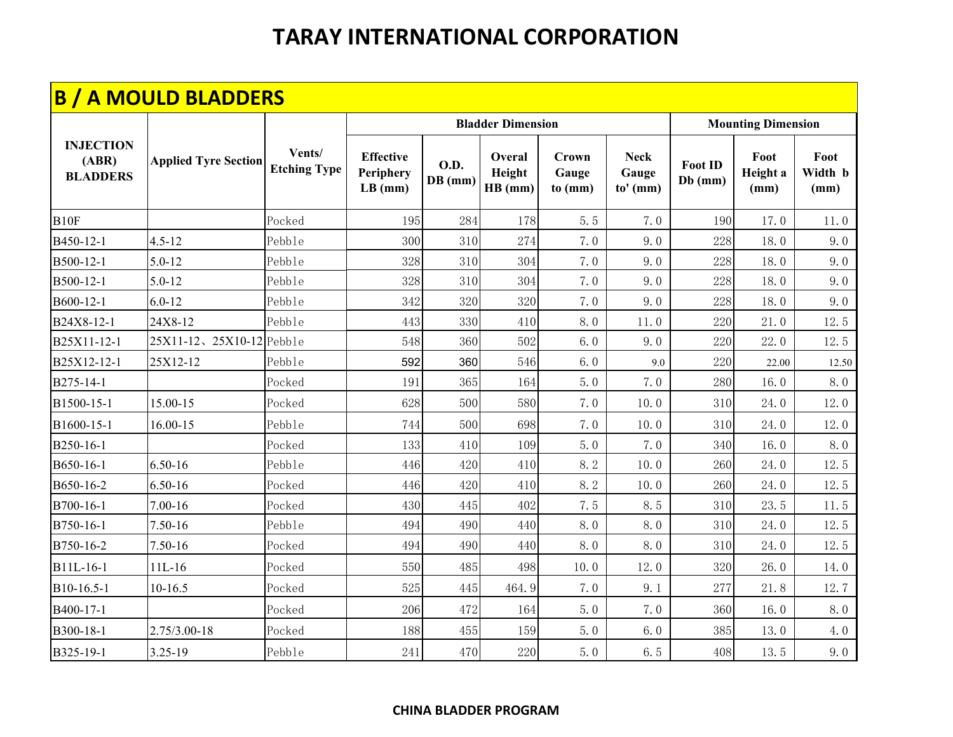|                                              | <b>B / A MOULD BLADDERS</b> |                               |                                            |                        |                             |                           |                                  |                             |                           |                         |
|----------------------------------------------|-----------------------------|-------------------------------|--------------------------------------------|------------------------|-----------------------------|---------------------------|----------------------------------|-----------------------------|---------------------------|-------------------------|
|                                              |                             |                               |                                            |                        | <b>Bladder Dimension</b>    |                           |                                  |                             | <b>Mounting Dimension</b> |                         |
| <b>INJECTION</b><br>(ABR)<br><b>BLADDERS</b> | <b>Applied Tyre Section</b> | Vents/<br><b>Etching Type</b> | <b>Effective</b><br>Periphery<br>$LB$ (mm) | <b>O.D.</b><br>DB (mm) | Overal<br>Height<br>HB (mm) | Crown<br>Gauge<br>to (mm) | <b>Neck</b><br>Gauge<br>to' (mm) | <b>Foot ID</b><br>$Db$ (mm) | Foot<br>Height a<br>(mm)  | Foot<br>Width b<br>(mm) |
| B <sub>10F</sub>                             |                             | Pocked                        | 195                                        | 284                    | 178                         | 5.5                       | 7.0                              | 190                         | 17.0                      | 11.0                    |
| B450-12-1                                    | $4.5 - 12$                  | Pebble                        | 300                                        | 310                    | 274                         | 7.0                       | 9.0                              | 228                         | 18.0                      | 9.0                     |
| B500-12-1                                    | $5.0 - 12$                  | Pebble                        | 328                                        | 310                    | 304                         | 7.0                       | 9.0                              | 228                         | 18.0                      | 9.0                     |
| B500-12-1                                    | $5.0 - 12$                  | Pebble                        | 328                                        | 310                    | 304                         | 7.0                       | 9.0                              | 228                         | 18.0                      | 9.0                     |
| B600-12-1                                    | $6.0 - 12$                  | Pebble                        | 342                                        | 320                    | 320                         | 7.0                       | 9.0                              | 228                         | 18.0                      | 9.0                     |
| B24X8-12-1                                   | 24X8-12                     | Pebble                        | 443                                        | 330                    | 410                         | 8.0                       | 11.0                             | 220                         | 21.0                      | 12.5                    |
| B25X11-12-1                                  | 25X11-12、25X10-12 Pebble    |                               | 548                                        | 360                    | 502                         | 6.0                       | 9.0                              | 220                         | 22.0                      | 12.5                    |
| B25X12-12-1                                  | 25X12-12                    | Pebble                        | 592                                        | 360                    | 546                         | 6.0                       | 9.0                              | 220                         | 22.00                     | 12.50                   |
| B275-14-1                                    |                             | Pocked                        | 191                                        | 365                    | 164                         | 5.0                       | 7.0                              | 280                         | 16.0                      | 8.0                     |
| B1500-15-1                                   | 15.00-15                    | Pocked                        | 628                                        | 500                    | 580                         | 7.0                       | 10.0                             | 310                         | 24.0                      | 12.0                    |
| B1600-15-1                                   | 16.00-15                    | Pebble                        | 744                                        | 500                    | 698                         | 7.0                       | 10.0                             | 310                         | 24.0                      | 12.0                    |
| B250-16-1                                    |                             | Pocked                        | 133                                        | 410                    | 109                         | 5.0                       | 7.0                              | 340                         | 16.0                      | 8.0                     |
| B650-16-1                                    | $6.50 - 16$                 | Pebble                        | 446                                        | 420                    | 410                         | 8.2                       | 10.0                             | 260                         | 24.0                      | 12.5                    |
| B650-16-2                                    | 6.50-16                     | Pocked                        | 446                                        | 420                    | 410                         | 8.2                       | 10.0                             | 260                         | 24.0                      | 12.5                    |
| B700-16-1                                    | $7.00 - 16$                 | Pocked                        | 430                                        | 445                    | 402                         | 7.5                       | 8.5                              | 310                         | 23.5                      | 11.5                    |
| B750-16-1                                    | 7.50-16                     | Pebble                        | 494                                        | 490                    | 440                         | 8.0                       | 8.0                              | 310                         | 24.0                      | 12.5                    |
| B750-16-2                                    | 7.50-16                     | Pocked                        | 494                                        | 490                    | 440                         | 8.0                       | 8.0                              | 310                         | 24.0                      | 12.5                    |
| B11L-16-1                                    | $11L-16$                    | Pocked                        | 550                                        | 485                    | 498                         | 10.0                      | 12.0                             | 320                         | 26.0                      | 14.0                    |
| B10-16.5-1                                   | 10-16.5                     | Pocked                        | 525                                        | 445                    | 464.9                       | 7.0                       | 9.1                              | 277                         | 21.8                      | 12.7                    |
| B400-17-1                                    |                             | Pocked                        | 206                                        | 472                    | 164                         | 5.0                       | 7.0                              | 360                         | 16.0                      | 8.0                     |
| B300-18-1                                    | 2.75/3.00-18                | Pocked                        | 188                                        | 455                    | 159                         | 5.0                       | 6.0                              | 385                         | 13.0                      | 4.0                     |
| B325-19-1                                    | 3.25-19                     | Pebble                        | 241                                        | 470                    | 220                         | 5.0                       | 6.5                              | 408                         | 13.5                      | 9.0                     |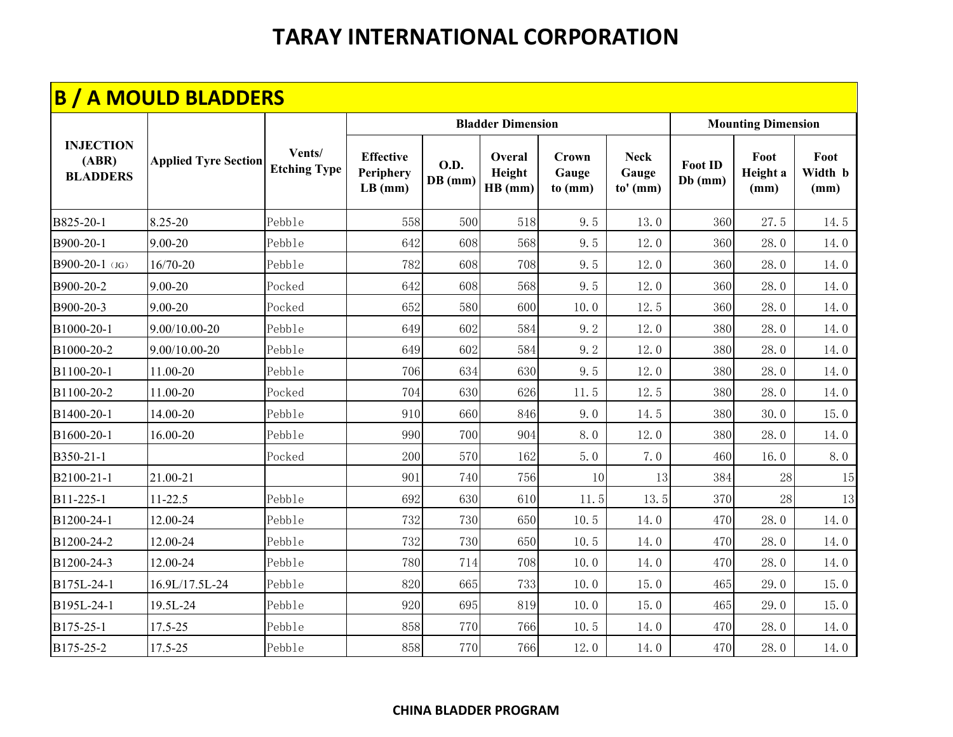|                                              | <b>B / A MOULD BLADDERS</b> |                               |                                            |                        |                             |                           |                                    |                             |                           |                         |
|----------------------------------------------|-----------------------------|-------------------------------|--------------------------------------------|------------------------|-----------------------------|---------------------------|------------------------------------|-----------------------------|---------------------------|-------------------------|
|                                              |                             |                               |                                            |                        | <b>Bladder Dimension</b>    |                           |                                    |                             | <b>Mounting Dimension</b> |                         |
| <b>INJECTION</b><br>(ABR)<br><b>BLADDERS</b> | <b>Applied Tyre Section</b> | Vents/<br><b>Etching Type</b> | <b>Effective</b><br>Periphery<br>$LB$ (mm) | <b>O.D.</b><br>DB (mm) | Overal<br>Height<br>HB (mm) | Crown<br>Gauge<br>to (mm) | <b>Neck</b><br>Gauge<br>$to'$ (mm) | <b>Foot ID</b><br>$Db$ (mm) | Foot<br>Height a<br>(mm)  | Foot<br>Width b<br>(mm) |
| B825-20-1                                    | 8.25-20                     | Pebble                        | 558                                        | 500                    | 518                         | 9.5                       | 13.0                               | 360                         | 27.5                      | 14.5                    |
| B900-20-1                                    | $9.00 - 20$                 | Pebble                        | 642                                        | 608                    | 568                         | 9.5                       | 12.0                               | 360                         | 28.0                      | 14.0                    |
| B900-20-1 (JG)                               | 16/70-20                    | Pebble                        | 782                                        | 608                    | 708                         | 9.5                       | 12.0                               | 360                         | 28.0                      | 14.0                    |
| B900-20-2                                    | 9.00-20                     | Pocked                        | 642                                        | 608                    | 568                         | 9.5                       | 12.0                               | 360                         | 28.0                      | 14.0                    |
| B900-20-3                                    | $9.00 - 20$                 | Pocked                        | 652                                        | 580                    | 600                         | 10.0                      | 12.5                               | 360                         | 28.0                      | 14.0                    |
| B1000-20-1                                   | 9.00/10.00-20               | Pebble                        | 649                                        | 602                    | 584                         | 9.2                       | 12.0                               | 380                         | 28.0                      | 14.0                    |
| B1000-20-2                                   | 9.00/10.00-20               | Pebble                        | 649                                        | 602                    | 584                         | 9.2                       | 12.0                               | 380                         | 28.0                      | 14.0                    |
| B1100-20-1                                   | 11.00-20                    | Pebble                        | 706                                        | 634                    | 630                         | 9.5                       | 12.0                               | 380                         | 28.0                      | 14.0                    |
| B1100-20-2                                   | 11.00-20                    | Pocked                        | 704                                        | 630                    | 626                         | 11.5                      | 12.5                               | 380                         | 28.0                      | 14.0                    |
| B1400-20-1                                   | 14.00-20                    | Pebble                        | 910                                        | 660                    | 846                         | 9.0                       | 14.5                               | 380                         | 30.0                      | 15.0                    |
| B1600-20-1                                   | 16.00-20                    | Pebble                        | 990                                        | 700                    | 904                         | 8.0                       | 12.0                               | 380                         | 28.0                      | 14.0                    |
| B350-21-1                                    |                             | Pocked                        | 200                                        | 570                    | 162                         | 5.0                       | 7.0                                | 460                         | 16.0                      | 8.0                     |
| B2100-21-1                                   | 21.00-21                    |                               | 901                                        | 740                    | 756                         | 10                        | 13                                 | 384                         | 28                        | 15                      |
| B11-225-1                                    | $11 - 22.5$                 | Pebble                        | 692                                        | 630                    | 610                         | 11.5                      | 13.5                               | 370                         | 28                        | 13                      |
| B1200-24-1                                   | 12.00-24                    | Pebble                        | 732                                        | 730                    | 650                         | 10.5                      | 14.0                               | 470                         | 28.0                      | 14.0                    |
| B1200-24-2                                   | 12.00-24                    | Pebble                        | 732                                        | 730                    | 650                         | 10.5                      | 14.0                               | 470                         | 28.0                      | 14.0                    |
| B1200-24-3                                   | 12.00-24                    | Pebble                        | 780                                        | 714                    | 708                         | 10.0                      | 14.0                               | 470                         | 28.0                      | 14.0                    |
| B175L-24-1                                   | 16.9L/17.5L-24              | Pebble                        | 820                                        | 665                    | 733                         | 10.0                      | 15.0                               | 465                         | 29.0                      | 15.0                    |
| B195L-24-1                                   | 19.5L-24                    | Pebble                        | 920                                        | 695                    | 819                         | 10.0                      | 15.0                               | 465                         | 29.0                      | 15.0                    |
| B175-25-1                                    | 17.5-25                     | Pebble                        | 858                                        | 770                    | 766                         | 10.5                      | 14.0                               | 470                         | 28.0                      | 14.0                    |
| B175-25-2                                    | 17.5-25                     | Pebble                        | 858                                        | 770                    | 766                         | 12.0                      | 14.0                               | 470                         | 28.0                      | 14.0                    |

#### **CHINA BLADDER PROGRAM**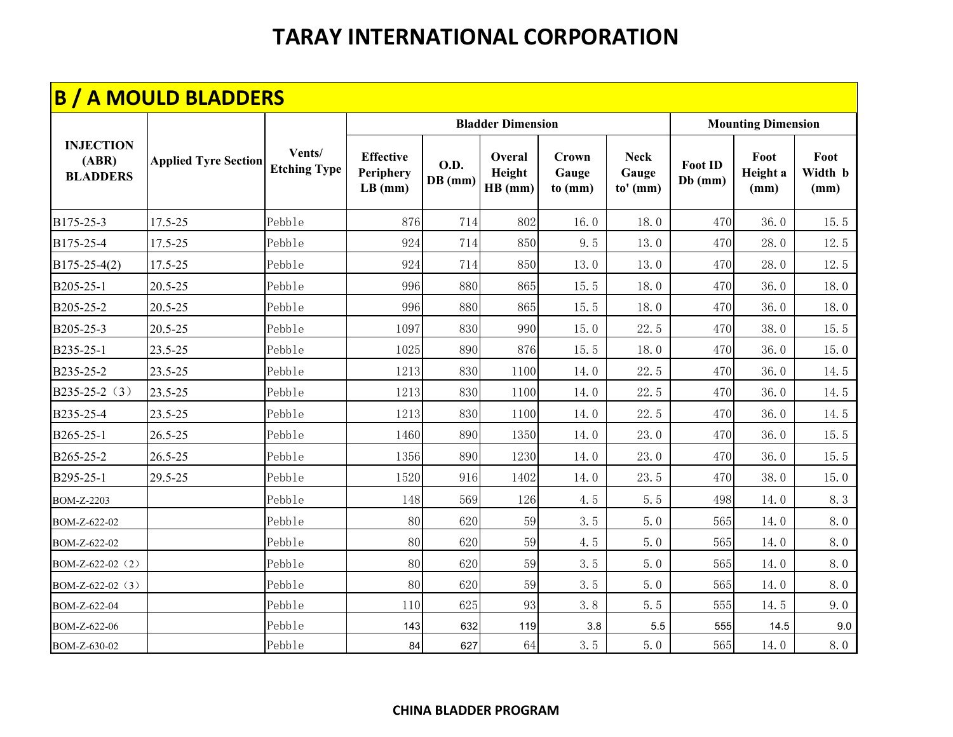|                                              | <b>B / A MOULD BLADDERS</b> |                               |                                            |                          |                             |                           |                                  |                           |                           |                         |
|----------------------------------------------|-----------------------------|-------------------------------|--------------------------------------------|--------------------------|-----------------------------|---------------------------|----------------------------------|---------------------------|---------------------------|-------------------------|
|                                              |                             |                               |                                            |                          | <b>Bladder Dimension</b>    |                           |                                  |                           | <b>Mounting Dimension</b> |                         |
| <b>INJECTION</b><br>(ABR)<br><b>BLADDERS</b> | <b>Applied Tyre Section</b> | Vents/<br><b>Etching Type</b> | <b>Effective</b><br>Periphery<br>$LB$ (mm) | <b>O.D.</b><br>$DB$ (mm) | Overal<br>Height<br>HB (mm) | Crown<br>Gauge<br>to (mm) | <b>Neck</b><br>Gauge<br>to' (mm) | <b>Foot ID</b><br>Db (mm) | Foot<br>Height a<br>(mm)  | Foot<br>Width b<br>(mm) |
| B175-25-3                                    | 17.5-25                     | Pebble                        | 876                                        | 714                      | 802                         | 16.0                      | 18.0                             | 470                       | 36.0                      | 15.5                    |
| B175-25-4                                    | 17.5-25                     | Pebble                        | 924                                        | 714                      | 850                         | 9.5                       | 13.0                             | 470                       | 28.0                      | 12.5                    |
| $B175 - 25 - 4(2)$                           | 17.5-25                     | Pebble                        | 924                                        | 714                      | 850                         | 13.0                      | 13.0                             | 470                       | 28.0                      | 12.5                    |
| B205-25-1                                    | $20.5 - 25$                 | Pebble                        | 996                                        | 880                      | 865                         | 15.5                      | 18.0                             | 470                       | 36.0                      | 18.0                    |
| B205-25-2                                    | 20.5-25                     | Pebble                        | 996                                        | 880                      | 865                         | 15.5                      | 18.0                             | 470                       | 36.0                      | 18.0                    |
| B205-25-3                                    | 20.5-25                     | Pebble                        | 1097                                       | 830                      | 990                         | 15.0                      | 22.5                             | 470                       | 38.0                      | 15.5                    |
| B235-25-1                                    | 23.5-25                     | Pebble                        | 1025                                       | 890                      | 876                         | 15.5                      | 18.0                             | 470                       | 36.0                      | 15.0                    |
| B235-25-2                                    | 23.5-25                     | Pebble                        | 1213                                       | 830                      | 1100                        | 14.0                      | 22.5                             | 470                       | 36.0                      | 14.5                    |
| B235-25-2 (3)                                | 23.5-25                     | Pebble                        | 1213                                       | 830                      | 1100                        | 14.0                      | 22.5                             | 470                       | 36.0                      | 14.5                    |
| B235-25-4                                    | 23.5-25                     | Pebble                        | 1213                                       | 830                      | 1100                        | 14.0                      | 22.5                             | 470                       | 36.0                      | 14.5                    |
| B265-25-1                                    | $26.5 - 25$                 | Pebble                        | 1460                                       | 890                      | 1350                        | 14.0                      | 23.0                             | 470                       | 36.0                      | 15.5                    |
| B265-25-2                                    | $26.5 - 25$                 | Pebble                        | 1356                                       | 890                      | 1230                        | 14.0                      | 23.0                             | 470                       | 36.0                      | 15.5                    |
| B295-25-1                                    | 29.5-25                     | Pebble                        | 1520                                       | 916                      | 1402                        | 14.0                      | 23.5                             | 470                       | 38.0                      | 15.0                    |
| BOM-Z-2203                                   |                             | Pebble                        | 148                                        | 569                      | 126                         | 4.5                       | 5.5                              | 498                       | 14.0                      | 8.3                     |
| BOM-Z-622-02                                 |                             | Pebble                        | 80                                         | 620                      | 59                          | 3.5                       | 5.0                              | 565                       | 14.0                      | 8.0                     |
| BOM-Z-622-02                                 |                             | Pebble                        | 80                                         | 620                      | 59                          | 4.5                       | 5.0                              | 565                       | 14.0                      | 8.0                     |
| BOM-Z-622-02 (2)                             |                             | Pebble                        | 80                                         | 620                      | 59                          | 3.5                       | 5.0                              | 565                       | 14.0                      | 8.0                     |
| BOM-Z-622-02 (3)                             |                             | Pebble                        | 80                                         | 620                      | 59                          | 3.5                       | 5.0                              | 565                       | 14.0                      | 8.0                     |
| BOM-Z-622-04                                 |                             | Pebble                        | 110                                        | 625                      | 93                          | 3.8                       | 5.5                              | 555                       | 14.5                      | 9.0                     |
| BOM-Z-622-06                                 |                             | Pebble                        | 143                                        | 632                      | 119                         | $3.8\,$                   | 5.5                              | 555                       | 14.5                      | 9.0                     |
| BOM-Z-630-02                                 |                             | Pebble                        | 84                                         | 627                      | 64                          | 3.5                       | 5.0                              | 565                       | 14.0                      | 8.0                     |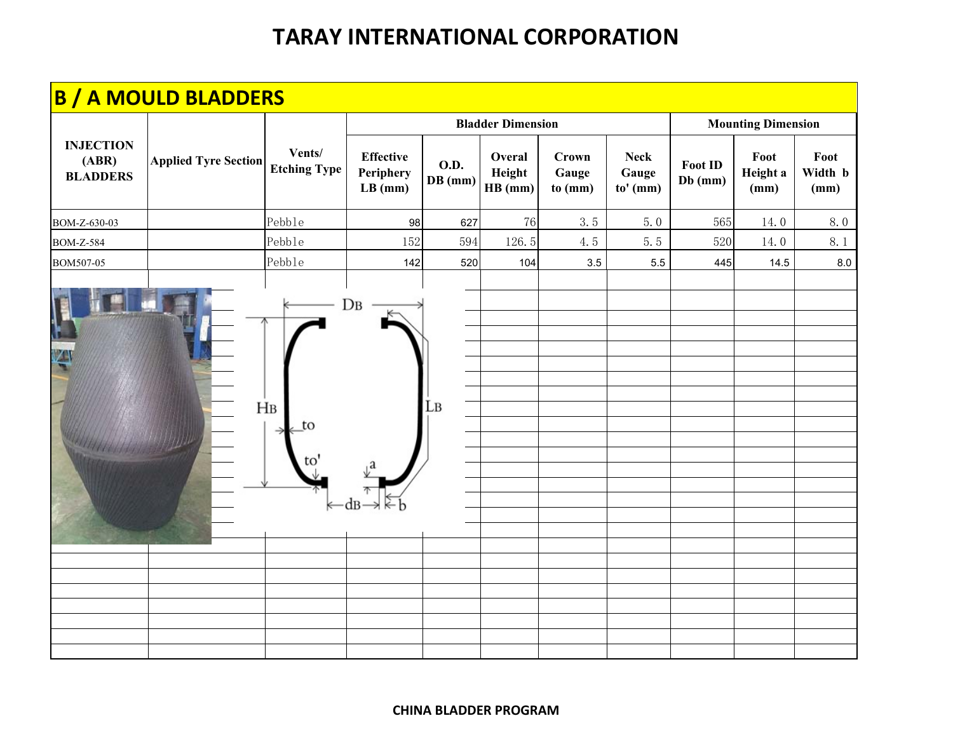|                                              | <b>B / A MOULD BLADDERS</b> |                               |                                            |                          |                             |                           |                                  |                           |                           |                         |
|----------------------------------------------|-----------------------------|-------------------------------|--------------------------------------------|--------------------------|-----------------------------|---------------------------|----------------------------------|---------------------------|---------------------------|-------------------------|
|                                              |                             |                               |                                            |                          | <b>Bladder Dimension</b>    |                           |                                  |                           | <b>Mounting Dimension</b> |                         |
| <b>INJECTION</b><br>(ABR)<br><b>BLADDERS</b> | <b>Applied Tyre Section</b> | Vents/<br><b>Etching Type</b> | <b>Effective</b><br>Periphery<br>$LB$ (mm) | <b>O.D.</b><br>$DB$ (mm) | Overal<br>Height<br>HB (mm) | Crown<br>Gauge<br>to (mm) | <b>Neck</b><br>Gauge<br>to' (mm) | <b>Foot ID</b><br>Db (mm) | Foot<br>Height a<br>(mm)  | Foot<br>Width b<br>(mm) |
| BOM-Z-630-03                                 |                             | Pebble                        | 98                                         | 627                      | 76                          | 3.5                       | 5.0                              | 565                       | 14.0                      | 8.0                     |
| <b>BOM-Z-584</b>                             |                             | Pebble                        | 152                                        | 594                      | 126.5                       | 4.5                       | 5.5                              | 520                       | 14.0                      | 8.1                     |
| BOM507-05                                    |                             | Pebble                        | 142                                        | 520                      | 104                         | 3.5                       | 5.5                              | 445                       | 14.5                      | 8.0                     |
|                                              |                             | H <sub>B</sub><br>to<br>ĽΟ    | $DB$                                       | Lв                       |                             |                           |                                  |                           |                           |                         |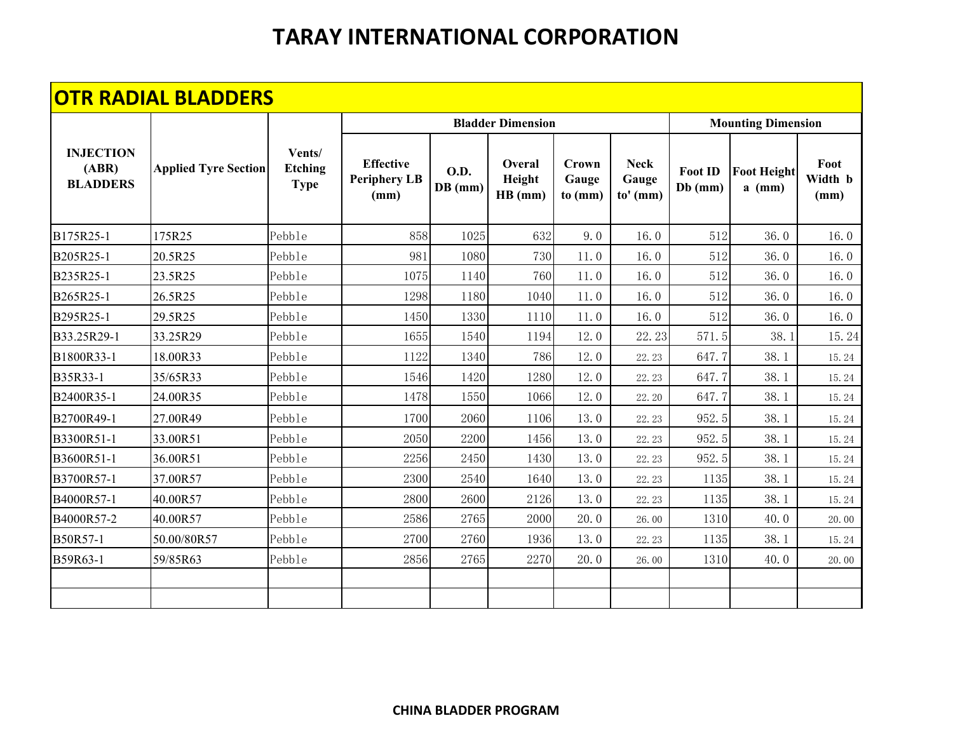|                                              | <b>OTR RADIAL BLADDERS</b>  |                                         |                                                 |                          |                             |                                  |                                    |                             |                                |                         |
|----------------------------------------------|-----------------------------|-----------------------------------------|-------------------------------------------------|--------------------------|-----------------------------|----------------------------------|------------------------------------|-----------------------------|--------------------------------|-------------------------|
|                                              |                             |                                         |                                                 |                          | <b>Bladder Dimension</b>    |                                  |                                    |                             | <b>Mounting Dimension</b>      |                         |
| <b>INJECTION</b><br>(ABR)<br><b>BLADDERS</b> | <b>Applied Tyre Section</b> | Vents/<br><b>Etching</b><br><b>Type</b> | <b>Effective</b><br><b>Periphery LB</b><br>(mm) | <b>O.D.</b><br>$DB$ (mm) | Overal<br>Height<br>HB (mm) | <b>Crown</b><br>Gauge<br>to (mm) | <b>Neck</b><br>Gauge<br>$to'$ (mm) | <b>Foot ID</b><br>$Db$ (mm) | <b>Foot Height</b><br>$a$ (mm) | Foot<br>Width b<br>(mm) |
| B175R25-1                                    | 175R25                      | Pebble                                  | 858                                             | 1025                     | 632                         | 9.0                              | 16.0                               | 512                         | 36.0                           | 16.0                    |
| B205R25-1                                    | 20.5R25                     | Pebble                                  | 981                                             | 1080                     | 730                         | 11.0                             | 16.0                               | 512                         | 36.0                           | 16.0                    |
| B235R25-1                                    | 23.5R25                     | Pebble                                  | 1075                                            | 1140                     | 760                         | 11.0                             | 16.0                               | 512                         | 36.0                           | 16.0                    |
| B265R25-1                                    | 26.5R25                     | Pebble                                  | 1298                                            | 1180                     | 1040                        | 11.0                             | 16.0                               | 512                         | 36.0                           | 16.0                    |
| B295R25-1                                    | 29.5R25                     | Pebble                                  | 1450                                            | 1330                     | 1110                        | 11.0                             | 16.0                               | 512                         | 36.0                           | 16.0                    |
| B33.25R29-1                                  | 33.25R29                    | Pebble                                  | 1655                                            | 1540                     | 1194                        | 12.0                             | 22.23                              | 571.5                       | 38.1                           | 15.24                   |
| B1800R33-1                                   | 18.00R33                    | Pebble                                  | 1122                                            | 1340                     | 786                         | 12.0                             | 22.23                              | 647.7                       | 38.1                           | 15.24                   |
| B35R33-1                                     | 35/65R33                    | Pebble                                  | 1546                                            | 1420                     | 1280                        | 12.0                             | 22.23                              | 647.7                       | 38.1                           | 15.24                   |
| B2400R35-1                                   | 24.00R35                    | Pebble                                  | 1478                                            | 1550                     | 1066                        | 12.0                             | 22.20                              | 647.7                       | 38.1                           | 15.24                   |
| B2700R49-1                                   | 27.00R49                    | Pebble                                  | 1700                                            | 2060                     | 1106                        | 13.0                             | 22.23                              | 952.5                       | 38.1                           | 15.24                   |
| B3300R51-1                                   | 33.00R51                    | Pebble                                  | 2050                                            | 2200                     | 1456                        | 13.0                             | 22.23                              | 952.5                       | 38.1                           | 15.24                   |
| B3600R51-1                                   | 36.00R51                    | Pebble                                  | 2256                                            | 2450                     | 1430                        | 13.0                             | 22.23                              | 952.5                       | 38.1                           | 15.24                   |
| B3700R57-1                                   | 37.00R57                    | Pebble                                  | 2300                                            | 2540                     | 1640                        | 13.0                             | 22.23                              | 1135                        | 38.1                           | 15.24                   |
| B4000R57-1                                   | 40.00R57                    | Pebble                                  | 2800                                            | 2600                     | 2126                        | 13.0                             | 22.23                              | 1135                        | 38.1                           | 15.24                   |
| B4000R57-2                                   | 40.00R57                    | Pebble                                  | 2586                                            | 2765                     | 2000                        | 20.0                             | 26.00                              | 1310                        | 40.0                           | 20.00                   |
| B50R57-1                                     | 50.00/80R57                 | Pebble                                  | 2700                                            | 2760                     | 1936                        | 13.0                             | 22.23                              | 1135                        | 38.1                           | 15.24                   |
| B59R63-1                                     | 59/85R63                    | Pebble                                  | 2856                                            | 2765                     | 2270                        | 20.0                             | 26.00                              | 1310                        | 40.0                           | 20.00                   |
|                                              |                             |                                         |                                                 |                          |                             |                                  |                                    |                             |                                |                         |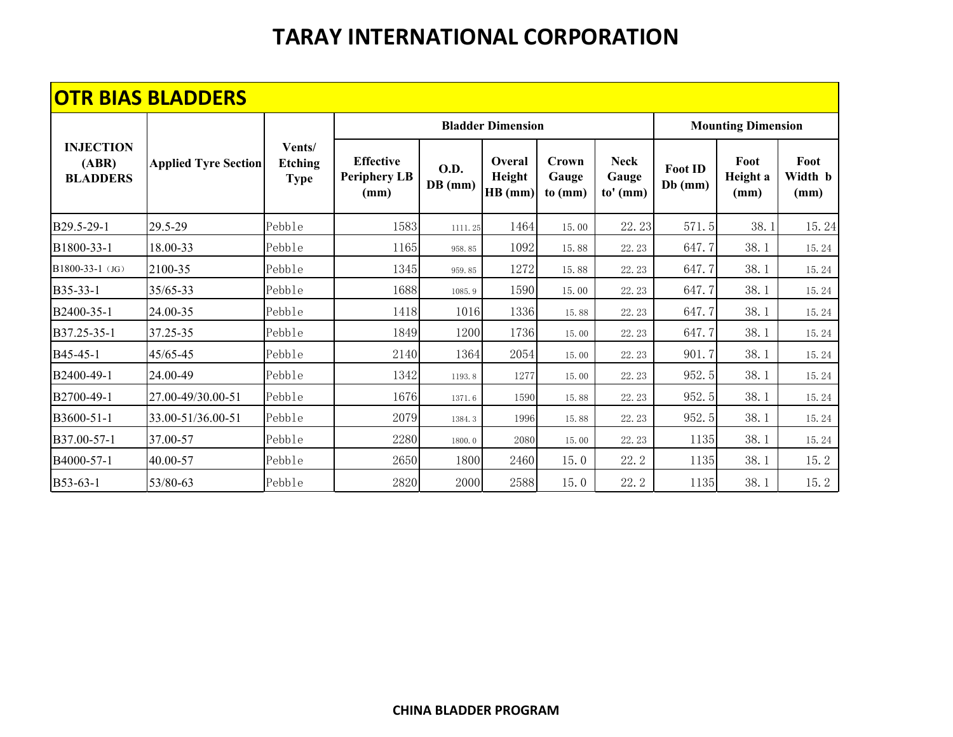|                                              | <b>OTR BIAS BLADDERS</b>    |                                         |                                                 |                        |                             |                           |                                    |                             |                           |                         |
|----------------------------------------------|-----------------------------|-----------------------------------------|-------------------------------------------------|------------------------|-----------------------------|---------------------------|------------------------------------|-----------------------------|---------------------------|-------------------------|
|                                              |                             |                                         |                                                 |                        | <b>Bladder Dimension</b>    |                           |                                    |                             | <b>Mounting Dimension</b> |                         |
| <b>INJECTION</b><br>(ABR)<br><b>BLADDERS</b> | <b>Applied Tyre Section</b> | Vents/<br><b>Etching</b><br><b>Type</b> | <b>Effective</b><br><b>Periphery LB</b><br>(mm) | <b>O.D.</b><br>DB (mm) | Overal<br>Height<br>HB (mm) | Crown<br>Gauge<br>to (mm) | <b>Neck</b><br>Gauge<br>$to'$ (mm) | <b>Foot ID</b><br>$Db$ (mm) | Foot<br>Height a<br>(mm)  | Foot<br>Width b<br>(mm) |
| B29.5-29-1                                   | 29.5-29                     | Pebble                                  | 1583                                            | 1111.25                | 1464                        | 15.00                     | 22.23                              | 571.5                       | 38.1                      | 15.24                   |
| B1800-33-1                                   | 18.00-33                    | Pebble                                  | 1165                                            | 958.85                 | 1092                        | 15.88                     | 22.23                              | 647.7                       | 38.1                      | 15.24                   |
| B1800-33-1 (JG)                              | 2100-35                     | Pebble                                  | 1345                                            | 959.85                 | 1272                        | 15.88                     | 22.23                              | 647.7                       | 38.1                      | 15.24                   |
| B35-33-1                                     | 35/65-33                    | Pebble                                  | 1688                                            | 1085.9                 | 1590                        | 15.00                     | 22.23                              | 647.7                       | 38.1                      | 15.24                   |
| B2400-35-1                                   | 24.00-35                    | Pebble                                  | 1418                                            | 1016                   | 1336                        | 15.88                     | 22.23                              | 647.7                       | 38.1                      | 15.24                   |
| B37.25-35-1                                  | 37.25-35                    | Pebble                                  | 1849                                            | 1200                   | 1736                        | 15.00                     | 22.23                              | 647.7                       | 38.1                      | 15.24                   |
| B45-45-1                                     | 45/65-45                    | Pebble                                  | 2140                                            | 1364                   | 2054                        | 15.00                     | 22.23                              | 901.7                       | 38.1                      | 15.24                   |
| B2400-49-1                                   | 24.00-49                    | Pebble                                  | 1342                                            | 1193.8                 | 1277                        | 15.00                     | 22.23                              | 952.5                       | 38.1                      | 15.24                   |
| B2700-49-1                                   | 27.00-49/30.00-51           | Pebble                                  | 1676                                            | 1371.6                 | 1590                        | 15.88                     | 22.23                              | 952.5                       | 38.1                      | 15.24                   |
| B3600-51-1                                   | 33.00-51/36.00-51           | Pebble                                  | 2079                                            | 1384.3                 | 1996                        | 15.88                     | 22.23                              | 952.5                       | 38.1                      | 15.24                   |
| B37.00-57-1                                  | 37.00-57                    | Pebble                                  | 2280                                            | 1800.0                 | 2080                        | 15.00                     | 22.23                              | 1135                        | 38.1                      | 15.24                   |
| B4000-57-1                                   | 40.00-57                    | Pebble                                  | 2650                                            | 1800                   | 2460                        | 15.0                      | 22.2                               | 1135                        | 38.1                      | 15.2                    |
| B53-63-1                                     | 53/80-63                    | Pebble                                  | 2820                                            | 2000                   | 2588                        | 15.0                      | 22.2                               | 1135                        | 38.1                      | 15.2                    |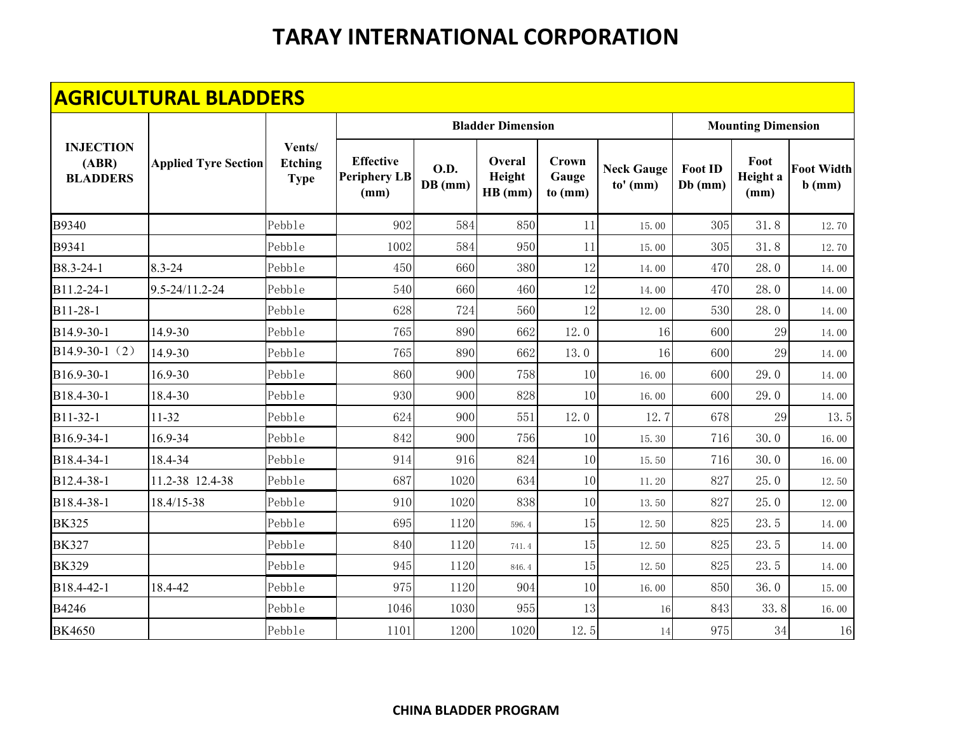| <b>AGRICULTURAL BLADDERS</b>                 |                             |                                         |                                                 |                          |                             |                           |                                 |                           |                          |                               |  |  |
|----------------------------------------------|-----------------------------|-----------------------------------------|-------------------------------------------------|--------------------------|-----------------------------|---------------------------|---------------------------------|---------------------------|--------------------------|-------------------------------|--|--|
|                                              | <b>Applied Tyre Section</b> | Vents/<br><b>Etching</b><br><b>Type</b> |                                                 | <b>Bladder Dimension</b> | <b>Mounting Dimension</b>   |                           |                                 |                           |                          |                               |  |  |
| <b>INJECTION</b><br>(ABR)<br><b>BLADDERS</b> |                             |                                         | <b>Effective</b><br><b>Periphery LB</b><br>(mm) | O.D.<br>$DB$ (mm)        | Overal<br>Height<br>HB (mm) | Crown<br>Gauge<br>to (mm) | <b>Neck Gauge</b><br>$to'$ (mm) | <b>Foot ID</b><br>Db (mm) | Foot<br>Height a<br>(mm) | <b>Foot Width</b><br>$b$ (mm) |  |  |
| B9340                                        |                             | Pebble                                  | 902                                             | 584                      | 850                         | 11                        | 15.00                           | 305                       | 31.8                     | 12.70                         |  |  |
| B9341                                        |                             | Pebble                                  | 1002                                            | 584                      | 950                         | 11                        | 15.00                           | 305                       | 31.8                     | 12.70                         |  |  |
| B8.3-24-1                                    | $8.3 - 24$                  | Pebble                                  | 450                                             | 660                      | 380                         | 12                        | 14.00                           | 470                       | 28.0                     | 14.00                         |  |  |
| B11.2-24-1                                   | 9.5-24/11.2-24              | Pebble                                  | 540                                             | 660                      | 460                         | 12                        | 14.00                           | 470                       | 28.0                     | 14.00                         |  |  |
| B11-28-1                                     |                             | Pebble                                  | 628                                             | 724                      | 560                         | 12                        | 12.00                           | 530                       | 28.0                     | 14.00                         |  |  |
| B14.9-30-1                                   | 14.9-30                     | Pebble                                  | 765                                             | 890                      | 662                         | 12.0                      | 16                              | 600                       | 29                       | 14.00                         |  |  |
| B14.9-30-1 $(2)$                             | 14.9-30                     | Pebble                                  | 765                                             | 890                      | 662                         | 13.0                      | 16                              | 600                       | 29                       | 14.00                         |  |  |
| B16.9-30-1                                   | 16.9-30                     | Pebble                                  | 860                                             | 900                      | 758                         | 10                        | 16.00                           | 600                       | 29.0                     | 14.00                         |  |  |
| B18.4-30-1                                   | 18.4-30                     | Pebble                                  | 930                                             | 900                      | 828                         | 10                        | 16.00                           | 600                       | 29.0                     | 14.00                         |  |  |
| B11-32-1                                     | 11-32                       | Pebble                                  | 624                                             | 900                      | 551                         | 12.0                      | 12.7                            | 678                       | 29                       | 13.5                          |  |  |
| B16.9-34-1                                   | 16.9-34                     | Pebble                                  | 842                                             | 900                      | 756                         | 10                        | 15.30                           | 716                       | 30.0                     | 16.00                         |  |  |
| B18.4-34-1                                   | 18.4-34                     | Pebble                                  | 914                                             | 916                      | 824                         | 10                        | 15.50                           | 716                       | 30.0                     | 16.00                         |  |  |
| B12.4-38-1                                   | 11.2-38 12.4-38             | Pebble                                  | 687                                             | 1020                     | 634                         | 10                        | 11.20                           | 827                       | 25.0                     | 12.50                         |  |  |
| B18.4-38-1                                   | 18.4/15-38                  | Pebble                                  | 910                                             | 1020                     | 838                         | 10                        | 13.50                           | 827                       | 25.0                     | 12.00                         |  |  |
| <b>BK325</b>                                 |                             | Pebble                                  | 695                                             | 1120                     | 596.4                       | 15                        | 12.50                           | 825                       | 23.5                     | 14.00                         |  |  |
| <b>BK327</b>                                 |                             | Pebble                                  | 840                                             | 1120                     | 741.4                       | 15                        | 12.50                           | 825                       | 23.5                     | 14.00                         |  |  |
| <b>BK329</b>                                 |                             | Pebble                                  | 945                                             | 1120                     | 846.4                       | 15                        | 12.50                           | 825                       | 23.5                     | 14.00                         |  |  |
| B18.4-42-1                                   | 18.4-42                     | Pebble                                  | 975                                             | 1120                     | 904                         | 10                        | 16.00                           | 850                       | 36.0                     | 15.00                         |  |  |
| B4246                                        |                             | Pebble                                  | 1046                                            | 1030                     | 955                         | 13                        | 16                              | 843                       | 33.8                     | 16.00                         |  |  |
| <b>BK4650</b>                                |                             | Pebble                                  | 1101                                            | 1200                     | 1020                        | 12.5                      | 14                              | 975                       | 34                       | 16                            |  |  |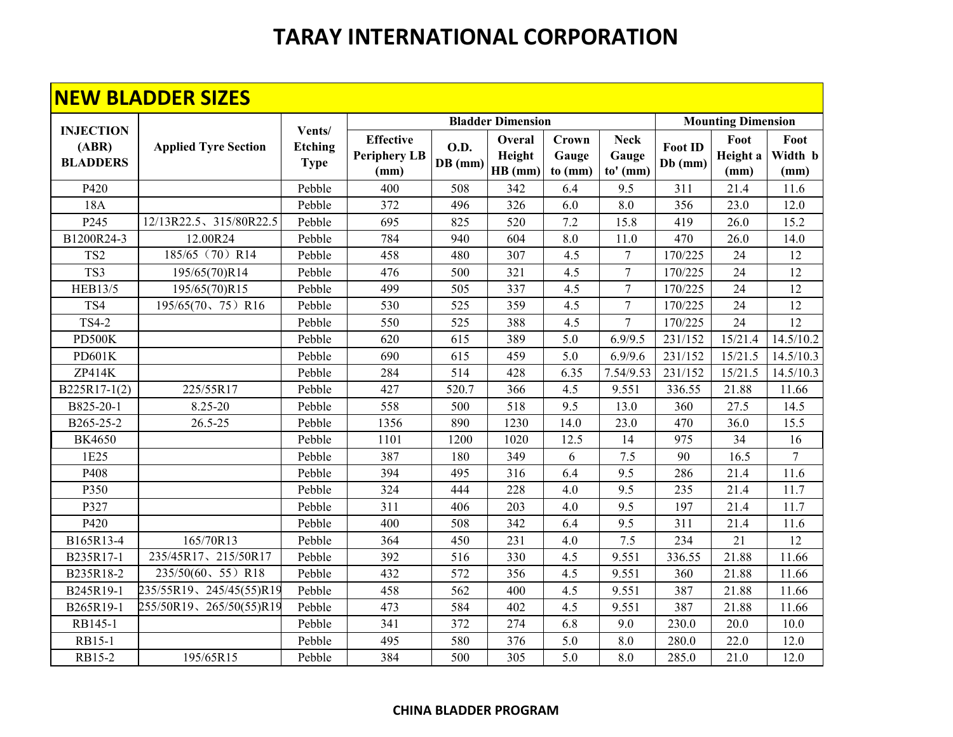#### **NEW BLADDER SIZES**

| <b>Bladder Dimension</b>                     |                             |                                         |                                                 |                          |                             |                           |                                  |                           |                          |                         |
|----------------------------------------------|-----------------------------|-----------------------------------------|-------------------------------------------------|--------------------------|-----------------------------|---------------------------|----------------------------------|---------------------------|--------------------------|-------------------------|
| <b>INJECTION</b><br>(ABR)<br><b>BLADDERS</b> | <b>Applied Tyre Section</b> | Vents/<br><b>Etching</b><br><b>Type</b> |                                                 |                          | <b>Mounting Dimension</b>   |                           |                                  |                           |                          |                         |
|                                              |                             |                                         | <b>Effective</b><br><b>Periphery LB</b><br>(mm) | <b>O.D.</b><br>$DB$ (mm) | Overal<br>Height<br>HB (mm) | Crown<br>Gauge<br>to (mm) | <b>Neck</b><br>Gauge<br>to' (mm) | <b>Foot ID</b><br>Db (mm) | Foot<br>Height a<br>(mm) | Foot<br>Width b<br>(mm) |
| P420                                         |                             | Pebble                                  | 400                                             | 508                      | 342                         | 6.4                       | 9.5                              | 311                       | 21.4                     | 11.6                    |
| 18A                                          |                             | Pebble                                  | 372                                             | 496                      | 326                         | 6.0                       | 8.0                              | 356                       | 23.0                     | 12.0                    |
| P <sub>245</sub>                             | 12/13R22.5、315/80R22.5      | Pebble                                  | 695                                             | 825                      | 520                         | 7.2                       | 15.8                             | 419                       | 26.0                     | 15.2                    |
| B1200R24-3                                   | 12.00R24                    | Pebble                                  | 784                                             | 940                      | 604                         | 8.0                       | 11.0                             | 470                       | 26.0                     | 14.0                    |
| TS <sub>2</sub>                              | 185/65 (70) R14             | Pebble                                  | 458                                             | 480                      | 307                         | 4.5                       | $\tau$                           | 170/225                   | 24                       | 12                      |
| TS3                                          | 195/65(70)R14               | Pebble                                  | 476                                             | 500                      | 321                         | 4.5                       | $\overline{7}$                   | 170/225                   | 24                       | 12                      |
| <b>HEB13/5</b>                               | 195/65(70)R15               | Pebble                                  | 499                                             | 505                      | 337                         | 4.5                       | $\overline{7}$                   | 170/225                   | 24                       | 12                      |
| TS4                                          | 195/65(70, 75) R16          | Pebble                                  | 530                                             | 525                      | 359                         | 4.5                       | $\overline{7}$                   | 170/225                   | 24                       | 12                      |
| <b>TS4-2</b>                                 |                             | Pebble                                  | 550                                             | 525                      | 388                         | 4.5                       | $\overline{7}$                   | 170/225                   | 24                       | 12                      |
| PD500K                                       |                             | Pebble                                  | 620                                             | 615                      | 389                         | 5.0                       | 6.9/9.5                          | 231/152                   | 15/21.4                  | 14.5/10.2               |
| PD601K                                       |                             | Pebble                                  | 690                                             | 615                      | 459                         | 5.0                       | 6.9/9.6                          | 231/152                   | 15/21.5                  | 14.5/10.3               |
| ZP414K                                       |                             | Pebble                                  | 284                                             | 514                      | 428                         | 6.35                      | 7.54/9.53                        | 231/152                   | 15/21.5                  | 14.5/10.3               |
| $B225R17-1(2)$                               | 225/55R17                   | Pebble                                  | 427                                             | 520.7                    | 366                         | 4.5                       | 9.551                            | 336.55                    | 21.88                    | 11.66                   |
| B825-20-1                                    | 8.25-20                     | Pebble                                  | 558                                             | 500                      | 518                         | 9.5                       | 13.0                             | 360                       | 27.5                     | 14.5                    |
| B265-25-2                                    | $26.5 - 25$                 | Pebble                                  | 1356                                            | 890                      | 1230                        | 14.0                      | 23.0                             | 470                       | 36.0                     | 15.5                    |
| <b>BK4650</b>                                |                             | Pebble                                  | 1101                                            | 1200                     | 1020                        | 12.5                      | 14                               | 975                       | 34                       | 16                      |
| 1E25                                         |                             | Pebble                                  | 387                                             | 180                      | 349                         | 6                         | 7.5                              | 90                        | 16.5                     | $\overline{7}$          |
| P408                                         |                             | Pebble                                  | 394                                             | 495                      | 316                         | 6.4                       | 9.5                              | 286                       | 21.4                     | 11.6                    |
| P350                                         |                             | Pebble                                  | 324                                             | 444                      | 228                         | 4.0                       | 9.5                              | 235                       | 21.4                     | 11.7                    |
| P327                                         |                             | Pebble                                  | 311                                             | 406                      | 203                         | 4.0                       | 9.5                              | 197                       | 21.4                     | 11.7                    |
| P420                                         |                             | Pebble                                  | 400                                             | 508                      | 342                         | 6.4                       | 9.5                              | 311                       | 21.4                     | 11.6                    |
| B165R13-4                                    | 165/70R13                   | Pebble                                  | 364                                             | 450                      | 231                         | 4.0                       | 7.5                              | 234                       | 21                       | 12                      |
| B235R17-1                                    | 235/45R17、215/50R17         | Pebble                                  | 392                                             | 516                      | 330                         | 4.5                       | 9.551                            | 336.55                    | 21.88                    | 11.66                   |
| B235R18-2                                    | 235/50(60, 55) R18          | Pebble                                  | 432                                             | 572                      | 356                         | 4.5                       | 9.551                            | 360                       | 21.88                    | 11.66                   |
| B245R19-1                                    | 235/55R19、245/45(55)R19     | Pebble                                  | 458                                             | 562                      | 400                         | 4.5                       | 9.551                            | 387                       | 21.88                    | 11.66                   |
| B265R19-1                                    | 255/50R19、265/50(55)R19     | Pebble                                  | 473                                             | 584                      | 402                         | 4.5                       | 9.551                            | 387                       | 21.88                    | 11.66                   |
| RB145-1                                      |                             | Pebble                                  | 341                                             | 372                      | 274                         | 6.8                       | 9.0                              | 230.0                     | 20.0                     | 10.0                    |
| RB15-1                                       |                             | Pebble                                  | 495                                             | 580                      | 376                         | 5.0                       | 8.0                              | 280.0                     | 22.0                     | 12.0                    |
| RB15-2                                       | 195/65R15                   | Pebble                                  | 384                                             | 500                      | 305                         | 5.0                       | 8.0                              | 285.0                     | 21.0                     | 12.0                    |

#### **CHINA BLADDER PROGRAM**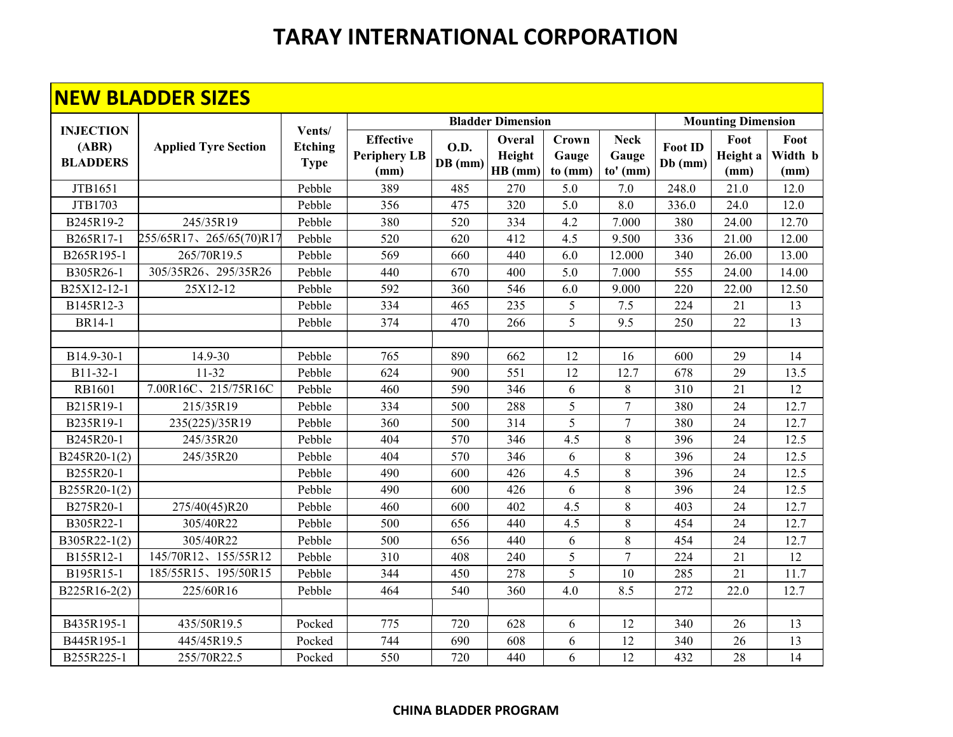#### **NEW BLADDER SIZES**

| <u>DEADD EIN JIEEJ</u>   |                             |                               |                                                 |                          |                             |                           |                                    |                      |                          |                                |
|--------------------------|-----------------------------|-------------------------------|-------------------------------------------------|--------------------------|-----------------------------|---------------------------|------------------------------------|----------------------|--------------------------|--------------------------------|
| <b>INJECTION</b>         | <b>Applied Tyre Section</b> | Vents/                        |                                                 | <b>Bladder Dimension</b> | <b>Mounting Dimension</b>   |                           |                                    |                      |                          |                                |
| (ABR)<br><b>BLADDERS</b> |                             | <b>Etching</b><br><b>Type</b> | <b>Effective</b><br><b>Periphery LB</b><br>(mm) | <b>O.D.</b><br>DB (mm)   | Overal<br>Height<br>HB (mm) | Crown<br>Gauge<br>to (mm) | <b>Neck</b><br>Gauge<br>$to'$ (mm) | Foot ID<br>$Db$ (mm) | Foot<br>Height a<br>(mm) | Foot<br>Width <b>b</b><br>(mm) |
| JTB1651                  |                             | Pebble                        | 389                                             | 485                      | 270                         | 5.0                       | 7.0                                | 248.0                | 21.0                     | 12.0                           |
| JTB1703                  |                             | Pebble                        | 356                                             | 475                      | 320                         | 5.0                       | 8.0                                | 336.0                | 24.0                     | 12.0                           |
| B245R19-2                | 245/35R19                   | Pebble                        | 380                                             | 520                      | 334                         | 4.2                       | 7.000                              | 380                  | 24.00                    | 12.70                          |
| B265R17-1                | 255/65R17、265/65(70)R17     | Pebble                        | 520                                             | 620                      | 412                         | 4.5                       | 9.500                              | 336                  | 21.00                    | 12.00                          |
| B265R195-1               | 265/70R19.5                 | Pebble                        | 569                                             | 660                      | 440                         | 6.0                       | 12.000                             | 340                  | 26.00                    | 13.00                          |
| B305R26-1                | 305/35R26、295/35R26         | Pebble                        | 440                                             | 670                      | 400                         | 5.0                       | 7.000                              | 555                  | 24.00                    | 14.00                          |
| B25X12-12-1              | 25X12-12                    | Pebble                        | 592                                             | 360                      | 546                         | 6.0                       | 9.000                              | 220                  | 22.00                    | 12.50                          |
| B145R12-3                |                             | Pebble                        | 334                                             | 465                      | 235                         | 5                         | 7.5                                | 224                  | 21                       | 13                             |
| <b>BR14-1</b>            |                             | Pebble                        | 374                                             | 470                      | 266                         | 5                         | 9.5                                | 250                  | 22                       | 13                             |
|                          |                             |                               |                                                 |                          |                             |                           |                                    |                      |                          |                                |
| B14.9-30-1               | 14.9-30                     | Pebble                        | 765                                             | 890                      | 662                         | 12                        | 16                                 | 600                  | 29                       | 14                             |
| B11-32-1                 | $11-32$                     | Pebble                        | 624                                             | 900                      | 551                         | 12                        | 12.7                               | 678                  | 29                       | 13.5                           |
| RB1601                   | 7.00R16C、215/75R16C         | Pebble                        | 460                                             | 590                      | 346                         | 6                         | 8                                  | 310                  | 21                       | 12                             |
| B215R19-1                | 215/35R19                   | Pebble                        | 334                                             | 500                      | 288                         | 5                         | $\overline{7}$                     | 380                  | 24                       | 12.7                           |
| B235R19-1                | 235(225)/35R19              | Pebble                        | 360                                             | 500                      | 314                         | 5                         | $\tau$                             | 380                  | 24                       | 12.7                           |
| B245R20-1                | 245/35R20                   | Pebble                        | 404                                             | 570                      | 346                         | 4.5                       | $\,8\,$                            | 396                  | 24                       | 12.5                           |
| B245R20-1(2)             | 245/35R20                   | Pebble                        | 404                                             | 570                      | 346                         | 6                         | 8                                  | 396                  | 24                       | 12.5                           |
| B255R20-1                |                             | Pebble                        | 490                                             | 600                      | 426                         | 4.5                       | $\,8\,$                            | 396                  | 24                       | 12.5                           |
| B255R20-1(2)             |                             | Pebble                        | 490                                             | 600                      | 426                         | 6                         | $\,8\,$                            | 396                  | 24                       | 12.5                           |
| B275R20-1                | 275/40(45)R20               | Pebble                        | 460                                             | 600                      | 402                         | 4.5                       | $\,8\,$                            | 403                  | 24                       | 12.7                           |
| B305R22-1                | 305/40R22                   | Pebble                        | 500                                             | 656                      | 440                         | 4.5                       | $\,8\,$                            | 454                  | 24                       | 12.7                           |
| B305R22-1(2)             | 305/40R22                   | Pebble                        | 500                                             | 656                      | 440                         | 6                         | 8                                  | 454                  | 24                       | 12.7                           |
| B155R12-1                | 145/70R12、155/55R12         | Pebble                        | 310                                             | 408                      | 240                         | 5                         | $\tau$                             | 224                  | 21                       | 12                             |
| B195R15-1                | 185/55R15、195/50R15         | Pebble                        | 344                                             | 450                      | 278                         | 5                         | 10                                 | 285                  | 21                       | 11.7                           |
| B225R16-2(2)             | 225/60R16                   | Pebble                        | 464                                             | 540                      | 360                         | 4.0                       | 8.5                                | 272                  | 22.0                     | 12.7                           |
|                          |                             |                               |                                                 |                          |                             |                           |                                    |                      |                          |                                |
| B435R195-1               | 435/50R19.5                 | Pocked                        | 775                                             | 720                      | 628                         | 6                         | 12                                 | 340                  | 26                       | 13                             |
| B445R195-1               | 445/45R19.5                 | Pocked                        | 744                                             | 690                      | 608                         | 6                         | 12                                 | 340                  | 26                       | 13                             |
| B255R225-1               | 255/70R22.5                 | Pocked                        | 550                                             | 720                      | 440                         | 6                         | 12                                 | 432                  | 28                       | 14                             |

#### **CHINA BLADDER PROGRAM**